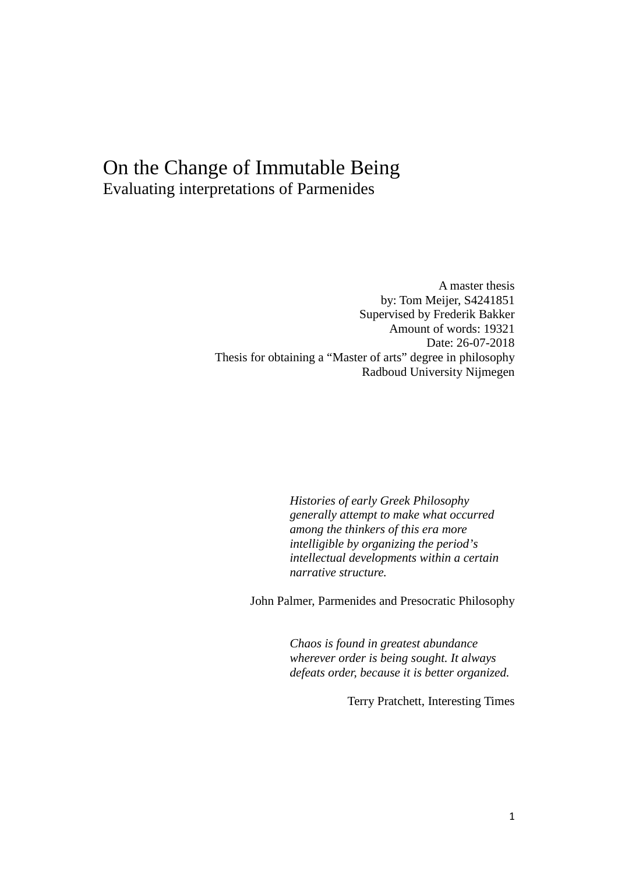# On the Change of Immutable Being Evaluating interpretations of Parmenides

A master thesis by: Tom Meijer, S4241851 Supervised by Frederik Bakker Amount of words: 19321 Date: 26-07-2018 Thesis for obtaining a "Master of arts" degree in philosophy Radboud University Nijmegen

> *Histories of early Greek Philosophy generally attempt to make what occurred among the thinkers of this era more intelligible by organizing the period's intellectual developments within a certain narrative structure.*

John Palmer, Parmenides and Presocratic Philosophy

*Chaos is found in greatest abundance wherever order is being sought. It always defeats order, because it is better organized.*

Terry Pratchett, Interesting Times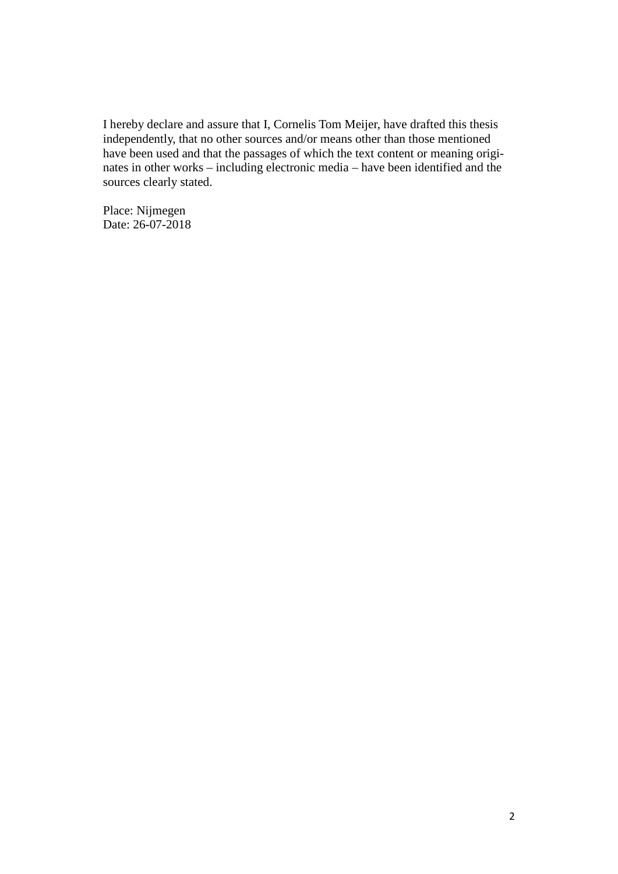I hereby declare and assure that I, Cornelis Tom Meijer, have drafted this thesis independently, that no other sources and/or means other than those mentioned have been used and that the passages of which the text content or meaning originates in other works – including electronic media – have been identified and the sources clearly stated.

Place: Nijmegen Date: 26-07-2018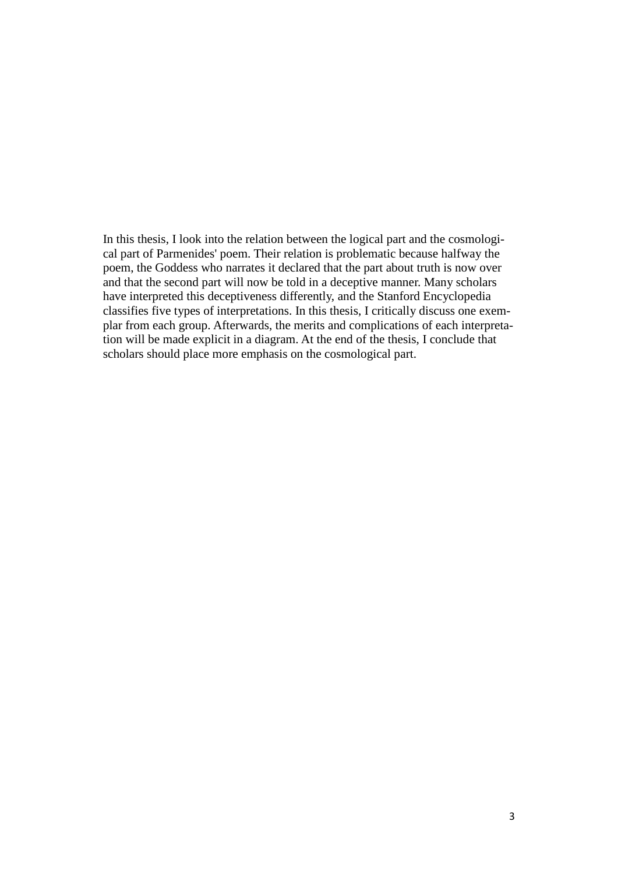In this thesis, I look into the relation between the logical part and the cosmological part of Parmenides' poem. Their relation is problematic because halfway the poem, the Goddess who narrates it declared that the part about truth is now over and that the second part will now be told in a deceptive manner. Many scholars have interpreted this deceptiveness differently, and the Stanford Encyclopedia classifies five types of interpretations. In this thesis, I critically discuss one exemplar from each group. Afterwards, the merits and complications of each interpretation will be made explicit in a diagram. At the end of the thesis, I conclude that scholars should place more emphasis on the cosmological part.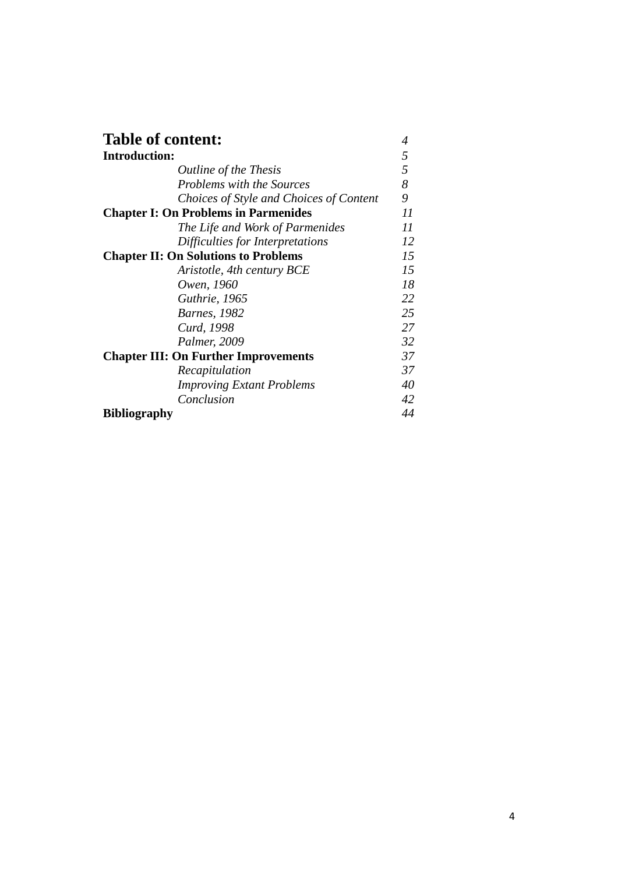| <b>Table of content:</b>                    |    |  |
|---------------------------------------------|----|--|
| <b>Introduction:</b>                        | 5  |  |
| <i>Outline of the Thesis</i>                | 5  |  |
| <b>Problems with the Sources</b>            | 8  |  |
| Choices of Style and Choices of Content     | 9  |  |
| <b>Chapter I: On Problems in Parmenides</b> |    |  |
| The Life and Work of Parmenides             | 11 |  |
| Difficulties for Interpretations            | 12 |  |
| <b>Chapter II: On Solutions to Problems</b> |    |  |
| Aristotle, 4th century BCE                  | 15 |  |
| Owen, 1960                                  | 18 |  |
| Guthrie, 1965                               | 22 |  |
| <b>Barnes</b> , 1982                        | 25 |  |
| Curd, 1998                                  | 27 |  |
| Palmer, 2009                                | 32 |  |
| <b>Chapter III: On Further Improvements</b> |    |  |
| Recapitulation                              | 37 |  |
| <b>Improving Extant Problems</b>            | 40 |  |
| Conclusion                                  | 42 |  |
| <b>Bibliography</b>                         | 44 |  |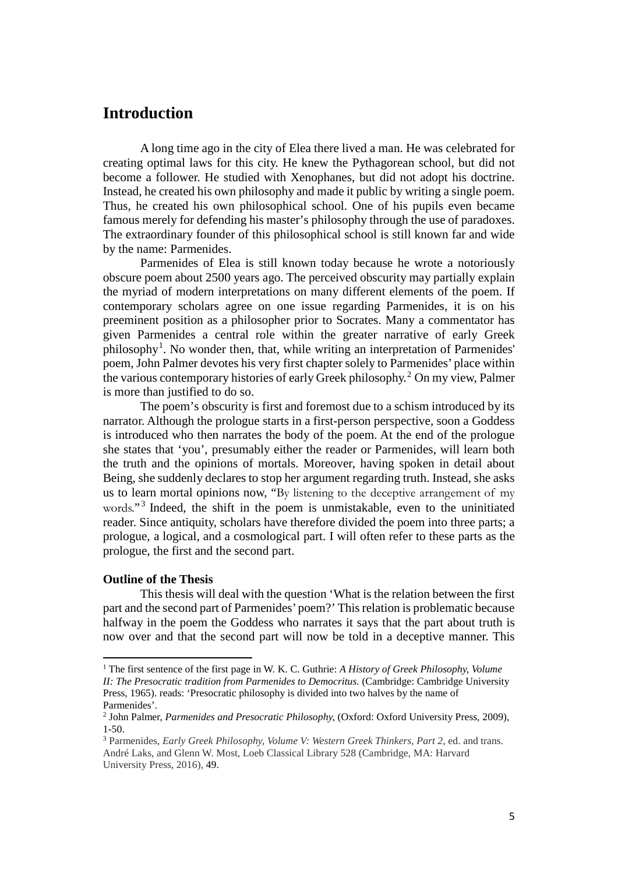# **Introduction**

A long time ago in the city of Elea there lived a man. He was celebrated for creating optimal laws for this city. He knew the Pythagorean school, but did not become a follower. He studied with Xenophanes, but did not adopt his doctrine. Instead, he created his own philosophy and made it public by writing a single poem. Thus, he created his own philosophical school. One of his pupils even became famous merely for defending his master's philosophy through the use of paradoxes. The extraordinary founder of this philosophical school is still known far and wide by the name: Parmenides.

Parmenides of Elea is still known today because he wrote a notoriously obscure poem about 2500 years ago. The perceived obscurity may partially explain the myriad of modern interpretations on many different elements of the poem. If contemporary scholars agree on one issue regarding Parmenides, it is on his preeminent position as a philosopher prior to Socrates. Many a commentator has given Parmenides a central role within the greater narrative of early Greek philosophy<sup>[1](#page-4-0)</sup>. No wonder then, that, while writing an interpretation of Parmenides' poem, John Palmer devotes his very first chapter solely to Parmenides' place within the various contemporary histories of early Greek philosophy. [2](#page-4-1) On my view, Palmer is more than justified to do so.

The poem's obscurity is first and foremost due to a schism introduced by its narrator. Although the prologue starts in a first-person perspective, soon a Goddess is introduced who then narrates the body of the poem. At the end of the prologue she states that 'you', presumably either the reader or Parmenides, will learn both the truth and the opinions of mortals. Moreover, having spoken in detail about Being, she suddenly declares to stop her argument regarding truth. Instead, she asks us to learn mortal opinions now, "By listening to the deceptive arrangement of my words."<sup>[3](#page-4-2)</sup> Indeed, the shift in the poem is unmistakable, even to the uninitiated reader. Since antiquity, scholars have therefore divided the poem into three parts; a prologue, a logical, and a cosmological part. I will often refer to these parts as the prologue, the first and the second part.

# **Outline of the Thesis**

l

This thesis will deal with the question 'What is the relation between the first part and the second part of Parmenides' poem?' Thisrelation is problematic because halfway in the poem the Goddess who narrates it says that the part about truth is now over and that the second part will now be told in a deceptive manner. This

<span id="page-4-0"></span><sup>1</sup> The first sentence of the first page in W. K. C. Guthrie: *A History of Greek Philosophy, Volume II: The Presocratic tradition from Parmenides to Democritus.* (Cambridge: Cambridge University Press, 1965). reads: 'Presocratic philosophy is divided into two halves by the name of Parmenides'.

<span id="page-4-1"></span><sup>2</sup> John Palmer, *Parmenides and Presocratic Philosophy,* (Oxford: Oxford University Press, 2009), 1-50.

<span id="page-4-2"></span><sup>3</sup> Parmenides, *Early Greek Philosophy, Volume V: Western Greek Thinkers, Part 2,* ed. and trans. André Laks, and Glenn W. Most, Loeb Classical Library 528 (Cambridge, MA: Harvard University Press, 2016), 49.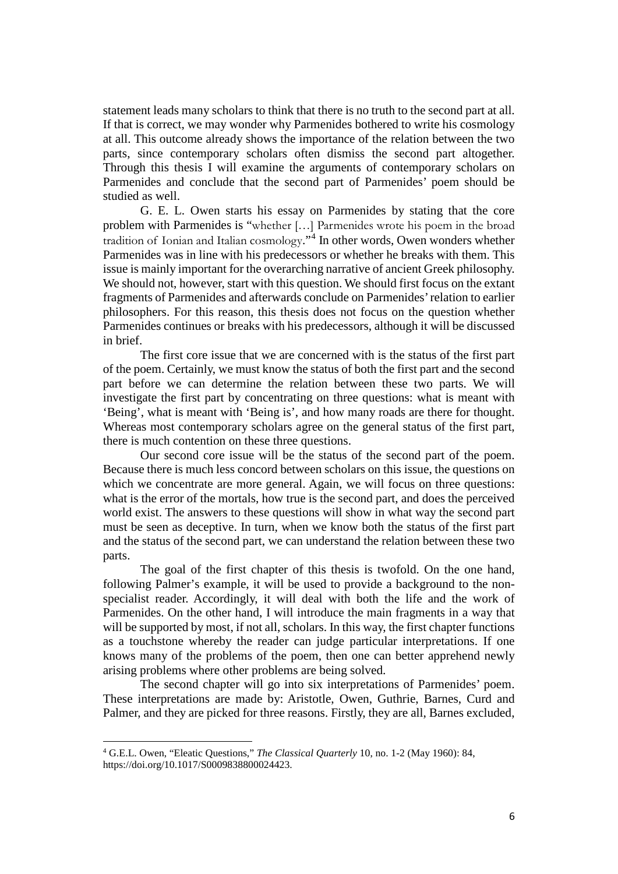statement leads many scholars to think that there is no truth to the second part at all. If that is correct, we may wonder why Parmenides bothered to write his cosmology at all. This outcome already shows the importance of the relation between the two parts, since contemporary scholars often dismiss the second part altogether. Through this thesis I will examine the arguments of contemporary scholars on Parmenides and conclude that the second part of Parmenides' poem should be studied as well.

G. E. L. Owen starts his essay on Parmenides by stating that the core problem with Parmenides is "whether […] Parmenides wrote his poem in the broad tradition of Ionian and Italian cosmology."[4](#page-5-0) In other words, Owen wonders whether Parmenides was in line with his predecessors or whether he breaks with them. This issue is mainly important for the overarching narrative of ancient Greek philosophy. We should not, however, start with this question. We should first focus on the extant fragments of Parmenides and afterwards conclude on Parmenides' relation to earlier philosophers. For this reason, this thesis does not focus on the question whether Parmenides continues or breaks with his predecessors, although it will be discussed in brief.

The first core issue that we are concerned with is the status of the first part of the poem. Certainly, we must know the status of both the first part and the second part before we can determine the relation between these two parts. We will investigate the first part by concentrating on three questions: what is meant with 'Being', what is meant with 'Being is', and how many roads are there for thought. Whereas most contemporary scholars agree on the general status of the first part, there is much contention on these three questions.

Our second core issue will be the status of the second part of the poem. Because there is much less concord between scholars on this issue, the questions on which we concentrate are more general. Again, we will focus on three questions: what is the error of the mortals, how true is the second part, and does the perceived world exist. The answers to these questions will show in what way the second part must be seen as deceptive. In turn, when we know both the status of the first part and the status of the second part, we can understand the relation between these two parts.

The goal of the first chapter of this thesis is twofold. On the one hand, following Palmer's example, it will be used to provide a background to the nonspecialist reader. Accordingly, it will deal with both the life and the work of Parmenides. On the other hand, I will introduce the main fragments in a way that will be supported by most, if not all, scholars. In this way, the first chapter functions as a touchstone whereby the reader can judge particular interpretations. If one knows many of the problems of the poem, then one can better apprehend newly arising problems where other problems are being solved.

The second chapter will go into six interpretations of Parmenides' poem. These interpretations are made by: Aristotle, Owen, Guthrie, Barnes, Curd and Palmer, and they are picked for three reasons. Firstly, they are all, Barnes excluded,

<span id="page-5-0"></span><sup>4</sup> G.E.L. Owen, "Eleatic Questions," *The Classical Quarterly* 10, no. 1-2 (May 1960): 84, https://doi.org/10.1017/S0009838800024423.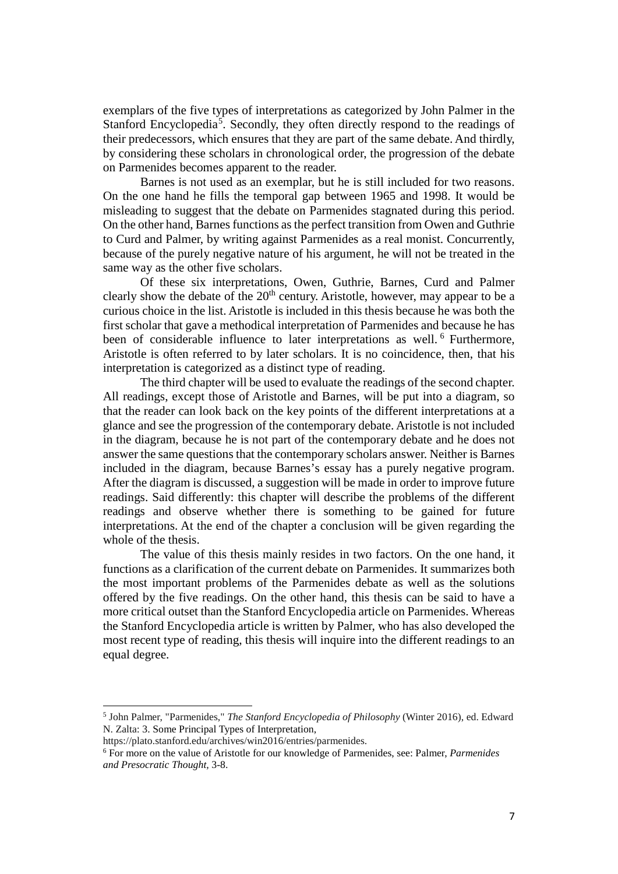exemplars of the five types of interpretations as categorized by John Palmer in the Stanford Encyclopedia<sup>[5](#page-6-0)</sup>. Secondly, they often directly respond to the readings of their predecessors, which ensures that they are part of the same debate. And thirdly, by considering these scholars in chronological order, the progression of the debate on Parmenides becomes apparent to the reader.

Barnes is not used as an exemplar, but he is still included for two reasons. On the one hand he fills the temporal gap between 1965 and 1998. It would be misleading to suggest that the debate on Parmenides stagnated during this period. On the other hand, Barnes functions as the perfect transition from Owen and Guthrie to Curd and Palmer, by writing against Parmenides as a real monist. Concurrently, because of the purely negative nature of his argument, he will not be treated in the same way as the other five scholars.

Of these six interpretations, Owen, Guthrie, Barnes, Curd and Palmer clearly show the debate of the  $20<sup>th</sup>$  century. Aristotle, however, may appear to be a curious choice in the list. Aristotle is included in this thesis because he was both the first scholar that gave a methodical interpretation of Parmenides and because he has been of considerable influence to later interpretations as well.<sup>[6](#page-6-1)</sup> Furthermore, Aristotle is often referred to by later scholars. It is no coincidence, then, that his interpretation is categorized as a distinct type of reading.

The third chapter will be used to evaluate the readings of the second chapter. All readings, except those of Aristotle and Barnes, will be put into a diagram, so that the reader can look back on the key points of the different interpretations at a glance and see the progression of the contemporary debate. Aristotle is not included in the diagram, because he is not part of the contemporary debate and he does not answer the same questions that the contemporary scholars answer. Neither is Barnes included in the diagram, because Barnes's essay has a purely negative program. After the diagram is discussed, a suggestion will be made in order to improve future readings. Said differently: this chapter will describe the problems of the different readings and observe whether there is something to be gained for future interpretations. At the end of the chapter a conclusion will be given regarding the whole of the thesis.

The value of this thesis mainly resides in two factors. On the one hand, it functions as a clarification of the current debate on Parmenides. It summarizes both the most important problems of the Parmenides debate as well as the solutions offered by the five readings. On the other hand, this thesis can be said to have a more critical outset than the Stanford Encyclopedia article on Parmenides. Whereas the Stanford Encyclopedia article is written by Palmer, who has also developed the most recent type of reading, this thesis will inquire into the different readings to an equal degree.

l

<span id="page-6-0"></span><sup>5</sup> John Palmer, "Parmenides," *The Stanford Encyclopedia of Philosophy* (Winter 2016), ed. Edward N. Zalta: 3. Some Principal Types of Interpretation,

https://plato.stanford.edu/archives/win2016/entries/parmenides.

<span id="page-6-1"></span><sup>6</sup> For more on the value of Aristotle for our knowledge of Parmenides, see: Palmer, *Parmenides and Presocratic Thought,* 3-8.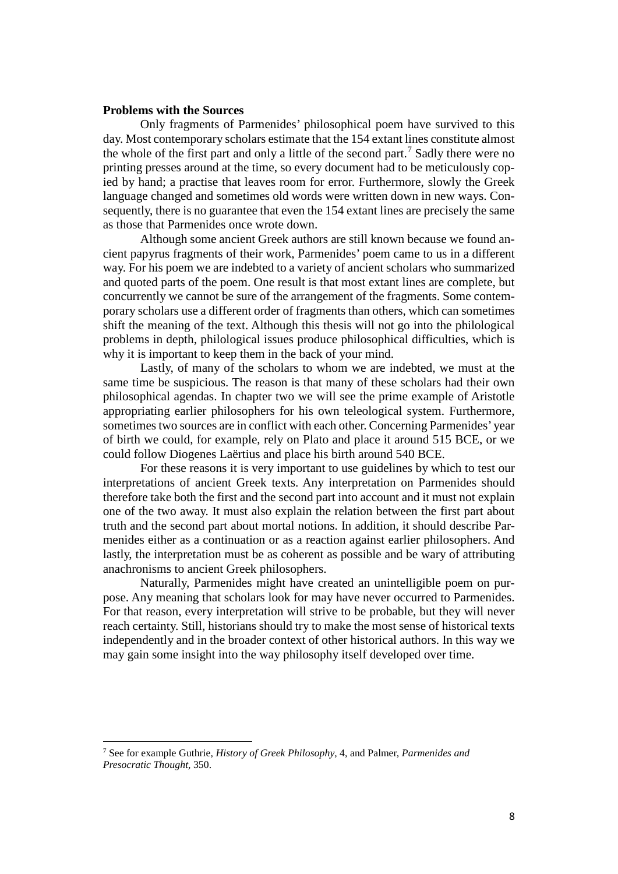# **Problems with the Sources**

Only fragments of Parmenides' philosophical poem have survived to this day. Most contemporary scholars estimate that the 154 extant lines constitute almost the whole of the first part and only a little of the second part.<sup>[7](#page-7-0)</sup> Sadly there were no printing presses around at the time, so every document had to be meticulously copied by hand; a practise that leaves room for error. Furthermore, slowly the Greek language changed and sometimes old words were written down in new ways. Consequently, there is no guarantee that even the 154 extant lines are precisely the same as those that Parmenides once wrote down.

Although some ancient Greek authors are still known because we found ancient papyrus fragments of their work, Parmenides' poem came to us in a different way. For his poem we are indebted to a variety of ancient scholars who summarized and quoted parts of the poem. One result is that most extant lines are complete, but concurrently we cannot be sure of the arrangement of the fragments. Some contemporary scholars use a different order of fragments than others, which can sometimes shift the meaning of the text. Although this thesis will not go into the philological problems in depth, philological issues produce philosophical difficulties, which is why it is important to keep them in the back of your mind.

Lastly, of many of the scholars to whom we are indebted, we must at the same time be suspicious. The reason is that many of these scholars had their own philosophical agendas. In chapter two we will see the prime example of Aristotle appropriating earlier philosophers for his own teleological system. Furthermore, sometimes two sources are in conflict with each other. Concerning Parmenides' year of birth we could, for example, rely on Plato and place it around 515 BCE, or we could follow Diogenes Laërtius and place his birth around 540 BCE.

For these reasons it is very important to use guidelines by which to test our interpretations of ancient Greek texts. Any interpretation on Parmenides should therefore take both the first and the second part into account and it must not explain one of the two away. It must also explain the relation between the first part about truth and the second part about mortal notions. In addition, it should describe Parmenides either as a continuation or as a reaction against earlier philosophers. And lastly, the interpretation must be as coherent as possible and be wary of attributing anachronisms to ancient Greek philosophers.

Naturally, Parmenides might have created an unintelligible poem on purpose. Any meaning that scholars look for may have never occurred to Parmenides. For that reason, every interpretation will strive to be probable, but they will never reach certainty. Still, historians should try to make the most sense of historical texts independently and in the broader context of other historical authors. In this way we may gain some insight into the way philosophy itself developed over time.

<span id="page-7-0"></span><sup>7</sup> See for example Guthrie, *History of Greek Philosophy*, 4, and Palmer, *Parmenides and Presocratic Thought,* 350.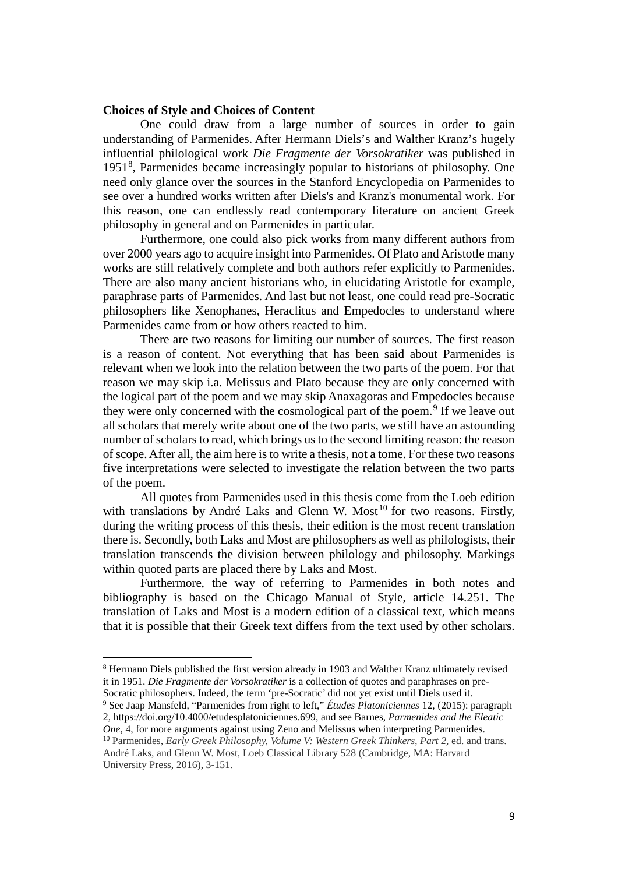# **Choices of Style and Choices of Content**

One could draw from a large number of sources in order to gain understanding of Parmenides. After Hermann Diels's and Walther Kranz's hugely influential philological work *Die Fragmente der Vorsokratiker* was published in 1951[8](#page-8-0) , Parmenides became increasingly popular to historians of philosophy. One need only glance over the sources in the Stanford Encyclopedia on Parmenides to see over a hundred works written after Diels's and Kranz's monumental work. For this reason, one can endlessly read contemporary literature on ancient Greek philosophy in general and on Parmenides in particular.

Furthermore, one could also pick works from many different authors from over 2000 years ago to acquire insight into Parmenides. Of Plato and Aristotle many works are still relatively complete and both authors refer explicitly to Parmenides. There are also many ancient historians who, in elucidating Aristotle for example, paraphrase parts of Parmenides. And last but not least, one could read pre-Socratic philosophers like Xenophanes, Heraclitus and Empedocles to understand where Parmenides came from or how others reacted to him.

There are two reasons for limiting our number of sources. The first reason is a reason of content. Not everything that has been said about Parmenides is relevant when we look into the relation between the two parts of the poem. For that reason we may skip i.a. Melissus and Plato because they are only concerned with the logical part of the poem and we may skip Anaxagoras and Empedocles because they were only concerned with the cosmological part of the poem.<sup>[9](#page-8-1)</sup> If we leave out all scholars that merely write about one of the two parts, we still have an astounding number of scholars to read, which brings us to the second limiting reason: the reason of scope. After all, the aim here is to write a thesis, not a tome. For these two reasons five interpretations were selected to investigate the relation between the two parts of the poem.

All quotes from Parmenides used in this thesis come from the Loeb edition with translations by André Laks and Glenn W. Most<sup>[10](#page-8-2)</sup> for two reasons. Firstly, during the writing process of this thesis, their edition is the most recent translation there is. Secondly, both Laks and Most are philosophers as well as philologists, their translation transcends the division between philology and philosophy. Markings within quoted parts are placed there by Laks and Most.

Furthermore, the way of referring to Parmenides in both notes and bibliography is based on the Chicago Manual of Style, article 14.251. The translation of Laks and Most is a modern edition of a classical text, which means that it is possible that their Greek text differs from the text used by other scholars.

l

<span id="page-8-0"></span><sup>8</sup> Hermann Diels published the first version already in 1903 and Walther Kranz ultimately revised it in 1951. *Die Fragmente der Vorsokratiker* is a collection of quotes and paraphrases on pre-Socratic philosophers. Indeed, the term 'pre-Socratic' did not yet exist until Diels used it.

<span id="page-8-1"></span><sup>9</sup> See Jaap Mansfeld, "Parmenides from right to left," *Études Platoniciennes* 12, (2015): paragraph 2, https://doi.org/10.4000/etudesplatoniciennes.699, and see Barnes, *Parmenides and the Eleatic One*, 4, for more arguments against using Zeno and Melissus when interpreting Parmenides.

<span id="page-8-2"></span><sup>10</sup> Parmenides, *Early Greek Philosophy, Volume V: Western Greek Thinkers, Part 2,* ed. and trans. André Laks, and Glenn W. Most, Loeb Classical Library 528 (Cambridge, MA: Harvard University Press, 2016), 3-151.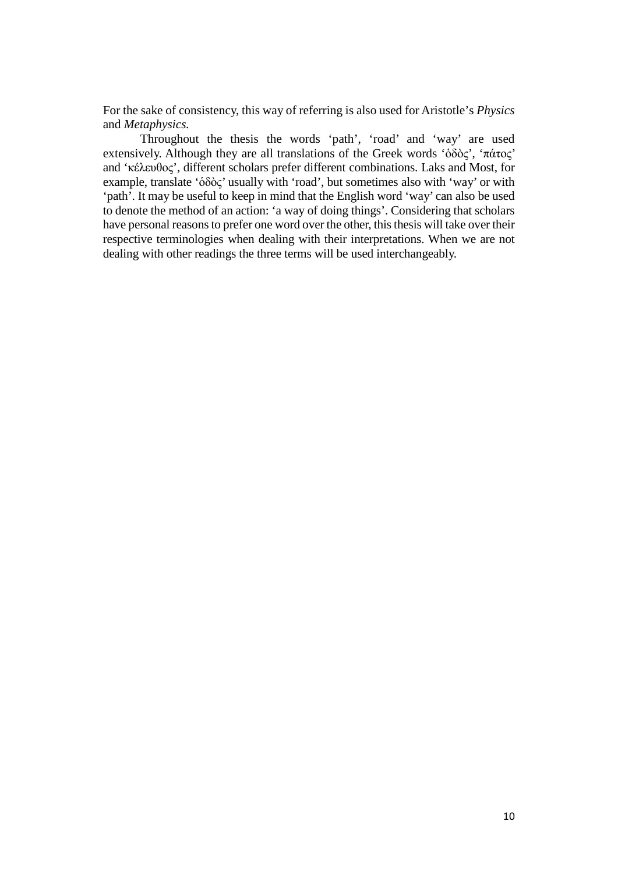For the sake of consistency, this way of referring is also used for Aristotle's *Physics*  and *Metaphysics.*

Throughout the thesis the words 'path', 'road' and 'way' are used extensively. Although they are all translations of the Greek words 'ὁδὸς', 'πάτος' and 'κέλευθος', different scholars prefer different combinations. Laks and Most, for example, translate 'ὁδὸς' usually with 'road', but sometimes also with 'way' or with 'path'. It may be useful to keep in mind that the English word 'way' can also be used to denote the method of an action: 'a way of doing things'. Considering that scholars have personal reasons to prefer one word over the other, this thesis will take over their respective terminologies when dealing with their interpretations. When we are not dealing with other readings the three terms will be used interchangeably.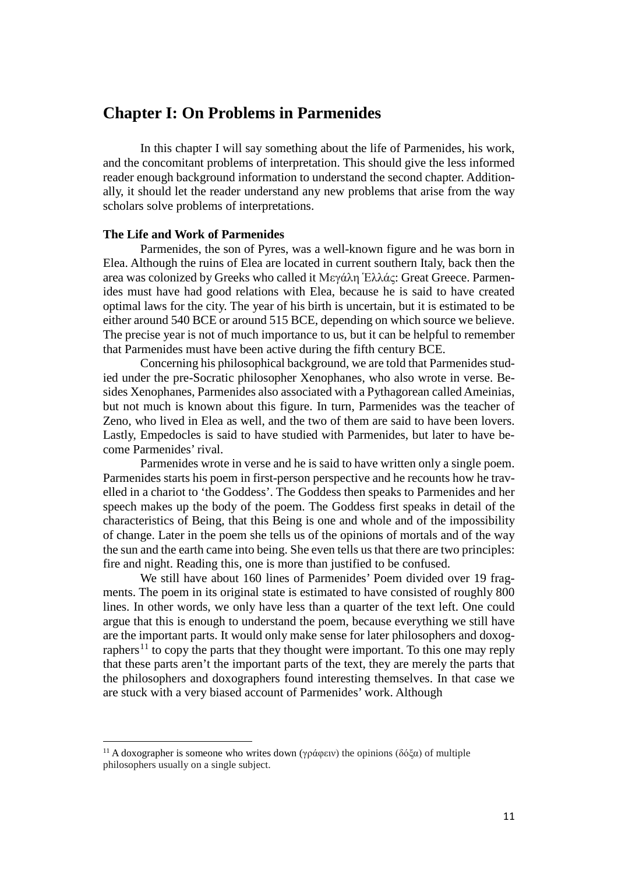# **Chapter I: On Problems in Parmenides**

In this chapter I will say something about the life of Parmenides, his work, and the concomitant problems of interpretation. This should give the less informed reader enough background information to understand the second chapter. Additionally, it should let the reader understand any new problems that arise from the way scholars solve problems of interpretations.

# **The Life and Work of Parmenides**

Parmenides, the son of Pyres, was a well-known figure and he was born in Elea. Although the ruins of Elea are located in current southern Italy, back then the area was colonized by Greeks who called it Μεγάλη Ἑλλάς: Great Greece. Parmenides must have had good relations with Elea, because he is said to have created optimal laws for the city. The year of his birth is uncertain, but it is estimated to be either around 540 BCE or around 515 BCE, depending on which source we believe. The precise year is not of much importance to us, but it can be helpful to remember that Parmenides must have been active during the fifth century BCE.

Concerning his philosophical background, we are told that Parmenides studied under the pre-Socratic philosopher Xenophanes, who also wrote in verse. Besides Xenophanes, Parmenides also associated with a Pythagorean called Ameinias, but not much is known about this figure. In turn, Parmenides was the teacher of Zeno, who lived in Elea as well, and the two of them are said to have been lovers. Lastly, Empedocles is said to have studied with Parmenides, but later to have become Parmenides' rival.

Parmenides wrote in verse and he is said to have written only a single poem. Parmenides starts his poem in first-person perspective and he recounts how he travelled in a chariot to 'the Goddess'. The Goddess then speaks to Parmenides and her speech makes up the body of the poem. The Goddess first speaks in detail of the characteristics of Being, that this Being is one and whole and of the impossibility of change. Later in the poem she tells us of the opinions of mortals and of the way the sun and the earth came into being. She even tells us that there are two principles: fire and night. Reading this, one is more than justified to be confused.

We still have about 160 lines of Parmenides' Poem divided over 19 fragments. The poem in its original state is estimated to have consisted of roughly 800 lines. In other words, we only have less than a quarter of the text left. One could argue that this is enough to understand the poem, because everything we still have are the important parts. It would only make sense for later philosophers and doxog-raphers<sup>[11](#page-10-0)</sup> to copy the parts that they thought were important. To this one may reply that these parts aren't the important parts of the text, they are merely the parts that the philosophers and doxographers found interesting themselves. In that case we are stuck with a very biased account of Parmenides' work. Although

<span id="page-10-0"></span><sup>&</sup>lt;sup>11</sup> A doxographer is someone who writes down (γράφειν) the opinions (δόξα) of multiple philosophers usually on a single subject.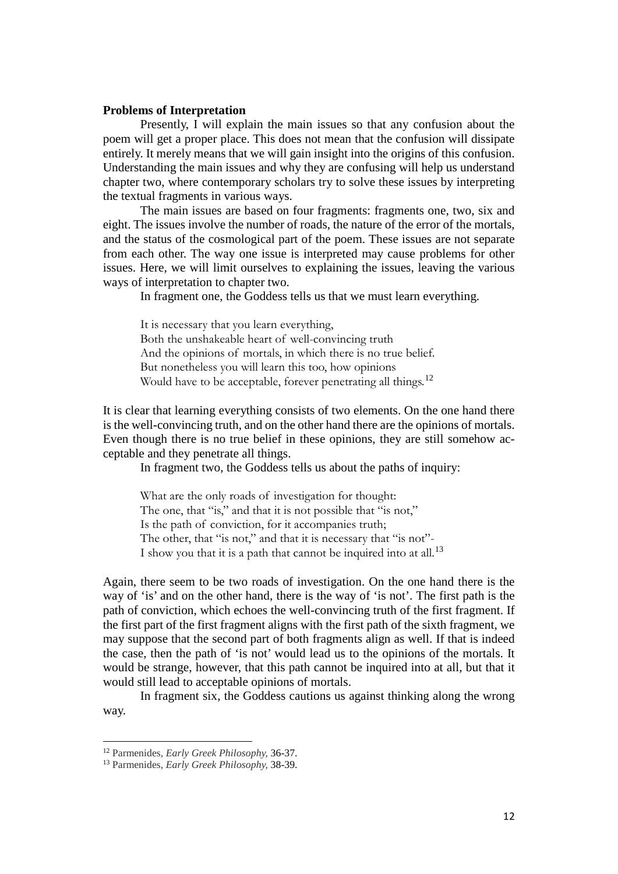# **Problems of Interpretation**

Presently, I will explain the main issues so that any confusion about the poem will get a proper place. This does not mean that the confusion will dissipate entirely. It merely means that we will gain insight into the origins of this confusion. Understanding the main issues and why they are confusing will help us understand chapter two, where contemporary scholars try to solve these issues by interpreting the textual fragments in various ways.

The main issues are based on four fragments: fragments one, two, six and eight. The issues involve the number of roads, the nature of the error of the mortals, and the status of the cosmological part of the poem. These issues are not separate from each other. The way one issue is interpreted may cause problems for other issues. Here, we will limit ourselves to explaining the issues, leaving the various ways of interpretation to chapter two.

In fragment one, the Goddess tells us that we must learn everything.

It is necessary that you learn everything, Both the unshakeable heart of well-convincing truth And the opinions of mortals, in which there is no true belief. But nonetheless you will learn this too, how opinions Would have to be acceptable, forever penetrating all things.<sup>[12](#page-11-0)</sup>

It is clear that learning everything consists of two elements. On the one hand there is the well-convincing truth, and on the other hand there are the opinions of mortals. Even though there is no true belief in these opinions, they are still somehow acceptable and they penetrate all things.

In fragment two, the Goddess tells us about the paths of inquiry:

What are the only roads of investigation for thought: The one, that "is," and that it is not possible that "is not," Is the path of conviction, for it accompanies truth; The other, that "is not," and that it is necessary that "is not"-I show you that it is a path that cannot be inquired into at all.<sup>[13](#page-11-1)</sup>

Again, there seem to be two roads of investigation. On the one hand there is the way of 'is' and on the other hand, there is the way of 'is not'. The first path is the path of conviction, which echoes the well-convincing truth of the first fragment. If the first part of the first fragment aligns with the first path of the sixth fragment, we may suppose that the second part of both fragments align as well. If that is indeed the case, then the path of 'is not' would lead us to the opinions of the mortals. It would be strange, however, that this path cannot be inquired into at all, but that it would still lead to acceptable opinions of mortals.

In fragment six, the Goddess cautions us against thinking along the wrong way.

<span id="page-11-0"></span><sup>12</sup> Parmenides, *Early Greek Philosophy,* 36-37.

<span id="page-11-1"></span><sup>13</sup> Parmenides, *Early Greek Philosophy,* 38-39.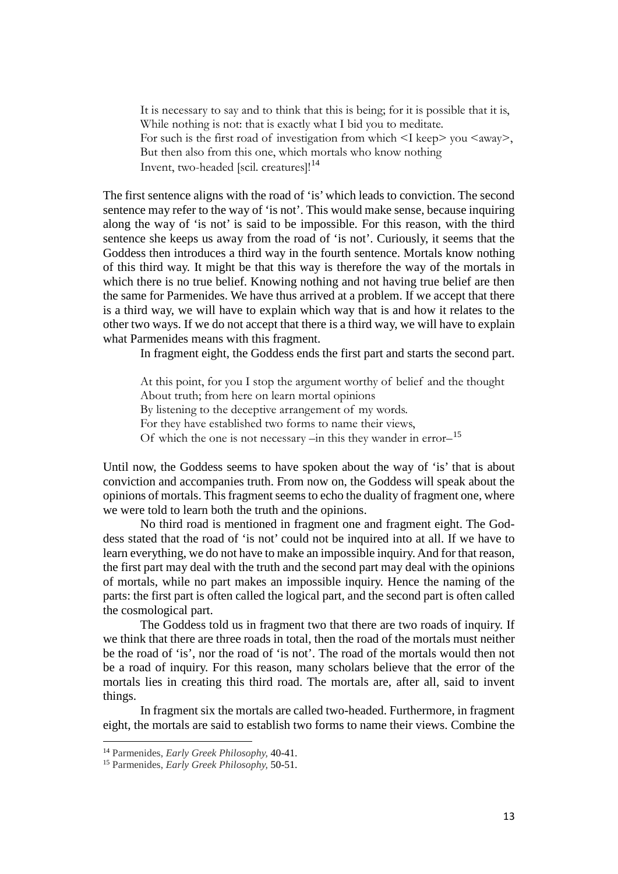It is necessary to say and to think that this is being; for it is possible that it is, While nothing is not: that is exactly what I bid you to meditate. For such is the first road of investigation from which  $\leq I$  keep $>$  you  $\leq$  away $>$ , But then also from this one, which mortals who know nothing Invent, two-headed [scil. creatures]!<sup>[14](#page-12-0)</sup>

The first sentence aligns with the road of 'is' which leads to conviction. The second sentence may refer to the way of 'is not'. This would make sense, because inquiring along the way of 'is not' is said to be impossible. For this reason, with the third sentence she keeps us away from the road of 'is not'. Curiously, it seems that the Goddess then introduces a third way in the fourth sentence. Mortals know nothing of this third way. It might be that this way is therefore the way of the mortals in which there is no true belief. Knowing nothing and not having true belief are then the same for Parmenides. We have thus arrived at a problem. If we accept that there is a third way, we will have to explain which way that is and how it relates to the other two ways. If we do not accept that there is a third way, we will have to explain what Parmenides means with this fragment.

In fragment eight, the Goddess ends the first part and starts the second part.

At this point, for you I stop the argument worthy of belief and the thought About truth; from here on learn mortal opinions By listening to the deceptive arrangement of my words. For they have established two forms to name their views, Of which the one is not necessary –in this they wander in error–[15](#page-12-1)

Until now, the Goddess seems to have spoken about the way of 'is' that is about conviction and accompanies truth. From now on, the Goddess will speak about the opinions of mortals. This fragment seems to echo the duality of fragment one, where we were told to learn both the truth and the opinions.

No third road is mentioned in fragment one and fragment eight. The Goddess stated that the road of 'is not' could not be inquired into at all. If we have to learn everything, we do not have to make an impossible inquiry. And for that reason, the first part may deal with the truth and the second part may deal with the opinions of mortals, while no part makes an impossible inquiry. Hence the naming of the parts: the first part is often called the logical part, and the second part is often called the cosmological part.

The Goddess told us in fragment two that there are two roads of inquiry. If we think that there are three roads in total, then the road of the mortals must neither be the road of 'is', nor the road of 'is not'. The road of the mortals would then not be a road of inquiry. For this reason, many scholars believe that the error of the mortals lies in creating this third road. The mortals are, after all, said to invent things.

In fragment six the mortals are called two-headed. Furthermore, in fragment eight, the mortals are said to establish two forms to name their views. Combine the

<span id="page-12-0"></span><sup>14</sup> Parmenides, *Early Greek Philosophy,* 40-41.

<span id="page-12-1"></span><sup>15</sup> Parmenides, *Early Greek Philosophy,* 50-51.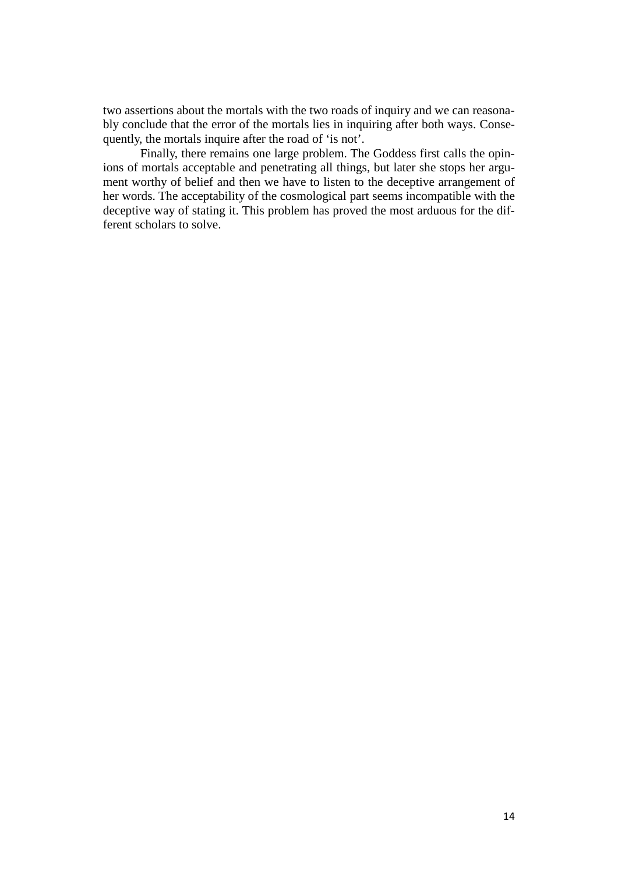two assertions about the mortals with the two roads of inquiry and we can reasonably conclude that the error of the mortals lies in inquiring after both ways. Consequently, the mortals inquire after the road of 'is not'.

Finally, there remains one large problem. The Goddess first calls the opinions of mortals acceptable and penetrating all things, but later she stops her argument worthy of belief and then we have to listen to the deceptive arrangement of her words. The acceptability of the cosmological part seems incompatible with the deceptive way of stating it. This problem has proved the most arduous for the different scholars to solve.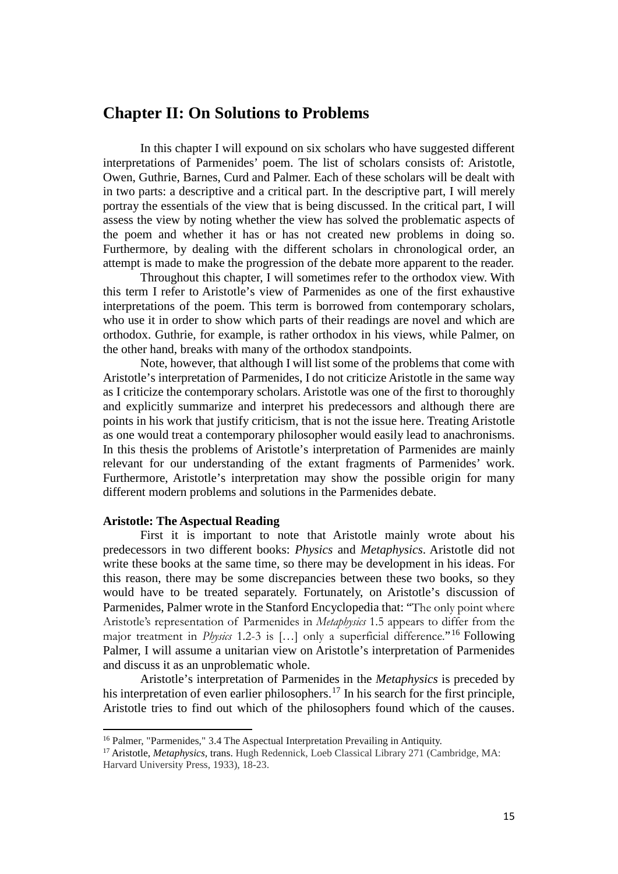# **Chapter II: On Solutions to Problems**

In this chapter I will expound on six scholars who have suggested different interpretations of Parmenides' poem. The list of scholars consists of: Aristotle, Owen, Guthrie, Barnes, Curd and Palmer. Each of these scholars will be dealt with in two parts: a descriptive and a critical part. In the descriptive part, I will merely portray the essentials of the view that is being discussed. In the critical part, I will assess the view by noting whether the view has solved the problematic aspects of the poem and whether it has or has not created new problems in doing so. Furthermore, by dealing with the different scholars in chronological order, an attempt is made to make the progression of the debate more apparent to the reader.

Throughout this chapter, I will sometimes refer to the orthodox view. With this term I refer to Aristotle's view of Parmenides as one of the first exhaustive interpretations of the poem. This term is borrowed from contemporary scholars, who use it in order to show which parts of their readings are novel and which are orthodox. Guthrie, for example, is rather orthodox in his views, while Palmer, on the other hand, breaks with many of the orthodox standpoints.

Note, however, that although I will list some of the problems that come with Aristotle's interpretation of Parmenides, I do not criticize Aristotle in the same way as I criticize the contemporary scholars. Aristotle was one of the first to thoroughly and explicitly summarize and interpret his predecessors and although there are points in his work that justify criticism, that is not the issue here. Treating Aristotle as one would treat a contemporary philosopher would easily lead to anachronisms. In this thesis the problems of Aristotle's interpretation of Parmenides are mainly relevant for our understanding of the extant fragments of Parmenides' work. Furthermore, Aristotle's interpretation may show the possible origin for many different modern problems and solutions in the Parmenides debate.

# **Aristotle: The Aspectual Reading**

l

First it is important to note that Aristotle mainly wrote about his predecessors in two different books: *Physics* and *Metaphysics*. Aristotle did not write these books at the same time, so there may be development in his ideas. For this reason, there may be some discrepancies between these two books, so they would have to be treated separately. Fortunately, on Aristotle's discussion of Parmenides, Palmer wrote in the Stanford Encyclopedia that: "The only point where Aristotle's representation of Parmenides in *Metaphysics* 1.5 appears to differ from the major treatment in *Physics* 1.2-3 is […] only a superficial difference."[16](#page-14-0) Following Palmer, I will assume a unitarian view on Aristotle's interpretation of Parmenides and discuss it as an unproblematic whole.

Aristotle's interpretation of Parmenides in the *Metaphysics* is preceded by his interpretation of even earlier philosophers.<sup>[17](#page-14-1)</sup> In his search for the first principle, Aristotle tries to find out which of the philosophers found which of the causes.

<span id="page-14-0"></span><sup>&</sup>lt;sup>16</sup> Palmer, "Parmenides," 3.4 The Aspectual Interpretation Prevailing in Antiquity.

<span id="page-14-1"></span><sup>17</sup> Aristotle, *Metaphysics,* trans. Hugh Redennick, Loeb Classical Library 271 (Cambridge, MA: Harvard University Press, 1933), 18-23.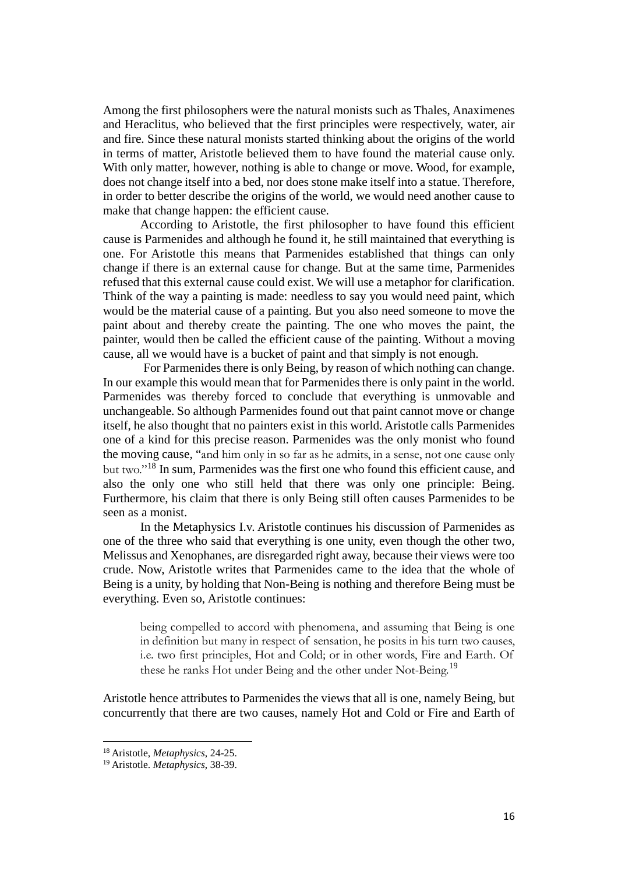Among the first philosophers were the natural monists such as Thales, Anaximenes and Heraclitus, who believed that the first principles were respectively, water, air and fire. Since these natural monists started thinking about the origins of the world in terms of matter, Aristotle believed them to have found the material cause only. With only matter, however, nothing is able to change or move. Wood, for example, does not change itself into a bed, nor does stone make itself into a statue. Therefore, in order to better describe the origins of the world, we would need another cause to make that change happen: the efficient cause.

According to Aristotle, the first philosopher to have found this efficient cause is Parmenides and although he found it, he still maintained that everything is one. For Aristotle this means that Parmenides established that things can only change if there is an external cause for change. But at the same time, Parmenides refused that this external cause could exist. We will use a metaphor for clarification. Think of the way a painting is made: needless to say you would need paint, which would be the material cause of a painting. But you also need someone to move the paint about and thereby create the painting. The one who moves the paint, the painter, would then be called the efficient cause of the painting. Without a moving cause, all we would have is a bucket of paint and that simply is not enough.

For Parmenides there is only Being, by reason of which nothing can change. In our example this would mean that for Parmenides there is only paint in the world. Parmenides was thereby forced to conclude that everything is unmovable and unchangeable. So although Parmenides found out that paint cannot move or change itself, he also thought that no painters exist in this world. Aristotle calls Parmenides one of a kind for this precise reason. Parmenides was the only monist who found the moving cause, "and him only in so far as he admits, in a sense, not one cause only but two."[18](#page-15-0) In sum, Parmenides was the first one who found this efficient cause, and also the only one who still held that there was only one principle: Being. Furthermore, his claim that there is only Being still often causes Parmenides to be seen as a monist.

In the Metaphysics I.v. Aristotle continues his discussion of Parmenides as one of the three who said that everything is one unity, even though the other two, Melissus and Xenophanes, are disregarded right away, because their views were too crude. Now, Aristotle writes that Parmenides came to the idea that the whole of Being is a unity, by holding that Non-Being is nothing and therefore Being must be everything. Even so, Aristotle continues:

being compelled to accord with phenomena, and assuming that Being is one in definition but many in respect of sensation, he posits in his turn two causes, i.e. two first principles, Hot and Cold; or in other words, Fire and Earth. Of these he ranks Hot under Being and the other under Not-Being.<sup>[19](#page-15-1)</sup>

Aristotle hence attributes to Parmenides the views that all is one, namely Being, but concurrently that there are two causes, namely Hot and Cold or Fire and Earth of

<span id="page-15-0"></span><sup>18</sup> Aristotle, *Metaphysics*, 24-25.

<span id="page-15-1"></span><sup>19</sup> Aristotle. *Metaphysics*, 38-39.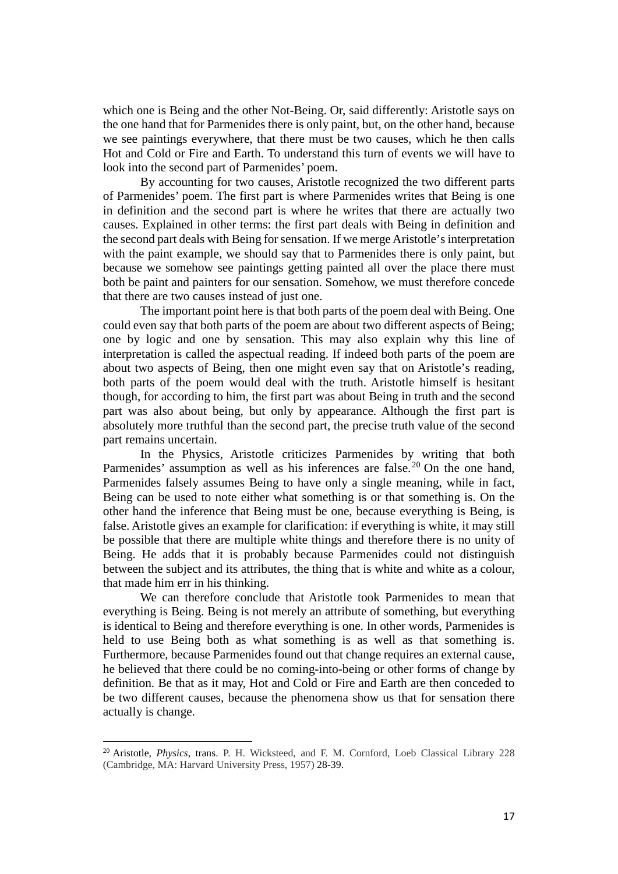which one is Being and the other Not-Being. Or, said differently: Aristotle says on the one hand that for Parmenides there is only paint, but, on the other hand, because we see paintings everywhere, that there must be two causes, which he then calls Hot and Cold or Fire and Earth. To understand this turn of events we will have to look into the second part of Parmenides' poem.

By accounting for two causes, Aristotle recognized the two different parts of Parmenides' poem. The first part is where Parmenides writes that Being is one in definition and the second part is where he writes that there are actually two causes. Explained in other terms: the first part deals with Being in definition and the second part deals with Being for sensation. If we merge Aristotle's interpretation with the paint example, we should say that to Parmenides there is only paint, but because we somehow see paintings getting painted all over the place there must both be paint and painters for our sensation. Somehow, we must therefore concede that there are two causes instead of just one.

The important point here is that both parts of the poem deal with Being. One could even say that both parts of the poem are about two different aspects of Being; one by logic and one by sensation. This may also explain why this line of interpretation is called the aspectual reading. If indeed both parts of the poem are about two aspects of Being, then one might even say that on Aristotle's reading, both parts of the poem would deal with the truth. Aristotle himself is hesitant though, for according to him, the first part was about Being in truth and the second part was also about being, but only by appearance. Although the first part is absolutely more truthful than the second part, the precise truth value of the second part remains uncertain.

In the Physics, Aristotle criticizes Parmenides by writing that both Parmenides' assumption as well as his inferences are false.<sup>[20](#page-16-0)</sup> On the one hand, Parmenides falsely assumes Being to have only a single meaning, while in fact, Being can be used to note either what something is or that something is. On the other hand the inference that Being must be one, because everything is Being, is false. Aristotle gives an example for clarification: if everything is white, it may still be possible that there are multiple white things and therefore there is no unity of Being. He adds that it is probably because Parmenides could not distinguish between the subject and its attributes, the thing that is white and white as a colour, that made him err in his thinking.

We can therefore conclude that Aristotle took Parmenides to mean that everything is Being. Being is not merely an attribute of something, but everything is identical to Being and therefore everything is one. In other words, Parmenides is held to use Being both as what something is as well as that something is. Furthermore, because Parmenides found out that change requires an external cause, he believed that there could be no coming-into-being or other forms of change by definition. Be that as it may, Hot and Cold or Fire and Earth are then conceded to be two different causes, because the phenomena show us that for sensation there actually is change.

<span id="page-16-0"></span><sup>20</sup> Aristotle, *Physics*, trans. P. H. Wicksteed, and F. M. Cornford, Loeb Classical Library 228 (Cambridge, MA: Harvard University Press, 1957) 28-39.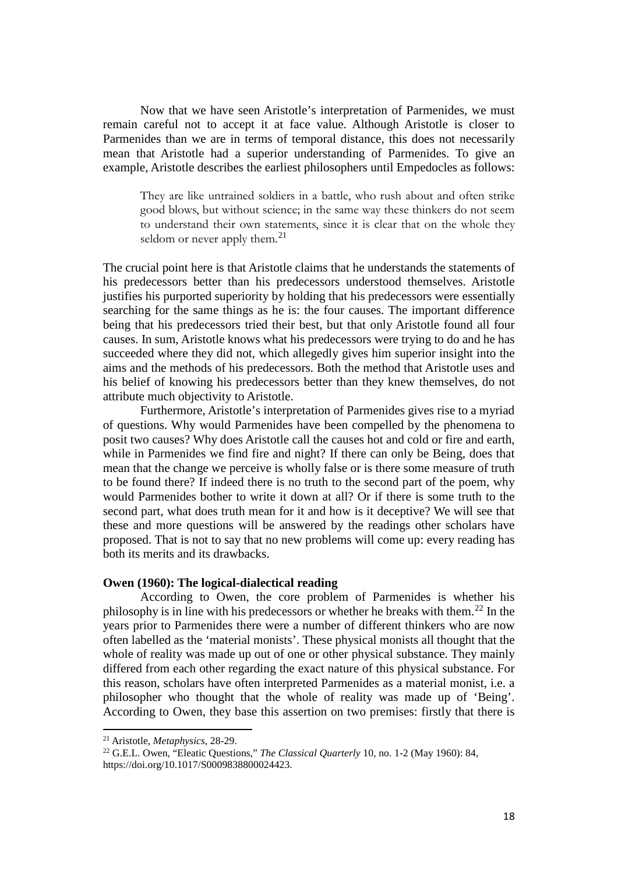Now that we have seen Aristotle's interpretation of Parmenides, we must remain careful not to accept it at face value. Although Aristotle is closer to Parmenides than we are in terms of temporal distance, this does not necessarily mean that Aristotle had a superior understanding of Parmenides. To give an example, Aristotle describes the earliest philosophers until Empedocles as follows:

They are like untrained soldiers in a battle, who rush about and often strike good blows, but without science; in the same way these thinkers do not seem to understand their own statements, since it is clear that on the whole they seldom or never apply them. $^{21}$  $^{21}$  $^{21}$ 

The crucial point here is that Aristotle claims that he understands the statements of his predecessors better than his predecessors understood themselves. Aristotle justifies his purported superiority by holding that his predecessors were essentially searching for the same things as he is: the four causes. The important difference being that his predecessors tried their best, but that only Aristotle found all four causes. In sum, Aristotle knows what his predecessors were trying to do and he has succeeded where they did not, which allegedly gives him superior insight into the aims and the methods of his predecessors. Both the method that Aristotle uses and his belief of knowing his predecessors better than they knew themselves, do not attribute much objectivity to Aristotle.

Furthermore, Aristotle's interpretation of Parmenides gives rise to a myriad of questions. Why would Parmenides have been compelled by the phenomena to posit two causes? Why does Aristotle call the causes hot and cold or fire and earth, while in Parmenides we find fire and night? If there can only be Being, does that mean that the change we perceive is wholly false or is there some measure of truth to be found there? If indeed there is no truth to the second part of the poem, why would Parmenides bother to write it down at all? Or if there is some truth to the second part, what does truth mean for it and how is it deceptive? We will see that these and more questions will be answered by the readings other scholars have proposed. That is not to say that no new problems will come up: every reading has both its merits and its drawbacks.

#### **Owen (1960): The logical-dialectical reading**

According to Owen, the core problem of Parmenides is whether his philosophy is in line with his predecessors or whether he breaks with them.[22](#page-17-1) In the years prior to Parmenides there were a number of different thinkers who are now often labelled as the 'material monists'. These physical monists all thought that the whole of reality was made up out of one or other physical substance. They mainly differed from each other regarding the exact nature of this physical substance. For this reason, scholars have often interpreted Parmenides as a material monist, i.e. a philosopher who thought that the whole of reality was made up of 'Being'. According to Owen, they base this assertion on two premises: firstly that there is

l

<span id="page-17-0"></span><sup>21</sup> Aristotle, *Metaphysics*, 28-29.

<span id="page-17-1"></span><sup>22</sup> G.E.L. Owen, "Eleatic Questions," *The Classical Quarterly* 10, no. 1-2 (May 1960): 84, https://doi.org/10.1017/S0009838800024423.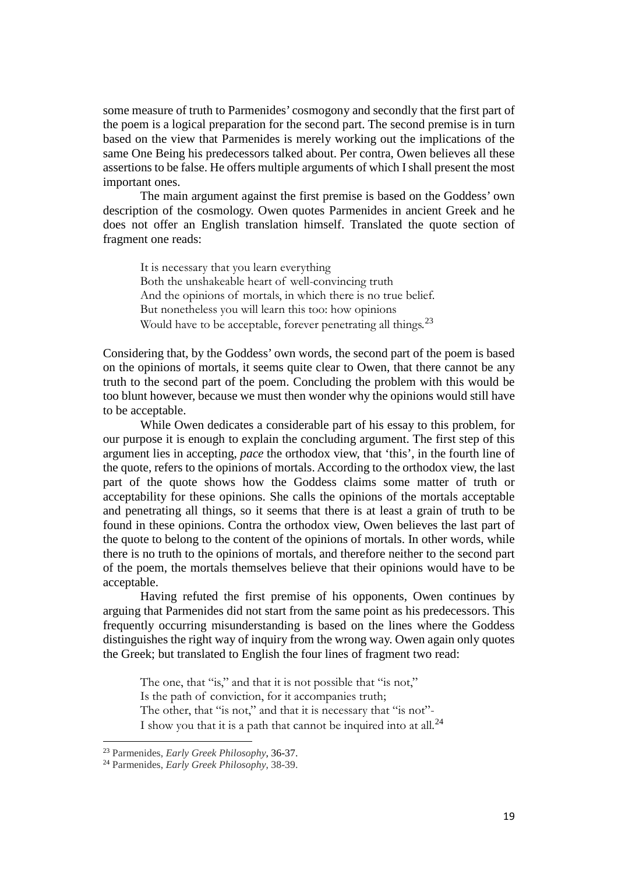some measure of truth to Parmenides' cosmogony and secondly that the first part of the poem is a logical preparation for the second part. The second premise is in turn based on the view that Parmenides is merely working out the implications of the same One Being his predecessors talked about. Per contra, Owen believes all these assertions to be false. He offers multiple arguments of which I shall present the most important ones.

The main argument against the first premise is based on the Goddess' own description of the cosmology. Owen quotes Parmenides in ancient Greek and he does not offer an English translation himself. Translated the quote section of fragment one reads:

It is necessary that you learn everything Both the unshakeable heart of well-convincing truth And the opinions of mortals, in which there is no true belief. But nonetheless you will learn this too: how opinions Would have to be acceptable, forever penetrating all things.<sup>[23](#page-18-0)</sup>

Considering that, by the Goddess' own words, the second part of the poem is based on the opinions of mortals, it seems quite clear to Owen, that there cannot be any truth to the second part of the poem. Concluding the problem with this would be too blunt however, because we must then wonder why the opinions would still have to be acceptable.

While Owen dedicates a considerable part of his essay to this problem, for our purpose it is enough to explain the concluding argument. The first step of this argument lies in accepting, *pace* the orthodox view, that 'this', in the fourth line of the quote, refers to the opinions of mortals. According to the orthodox view, the last part of the quote shows how the Goddess claims some matter of truth or acceptability for these opinions. She calls the opinions of the mortals acceptable and penetrating all things, so it seems that there is at least a grain of truth to be found in these opinions. Contra the orthodox view, Owen believes the last part of the quote to belong to the content of the opinions of mortals. In other words, while there is no truth to the opinions of mortals, and therefore neither to the second part of the poem, the mortals themselves believe that their opinions would have to be acceptable.

Having refuted the first premise of his opponents, Owen continues by arguing that Parmenides did not start from the same point as his predecessors. This frequently occurring misunderstanding is based on the lines where the Goddess distinguishes the right way of inquiry from the wrong way. Owen again only quotes the Greek; but translated to English the four lines of fragment two read:

The one, that "is," and that it is not possible that "is not," Is the path of conviction, for it accompanies truth; The other, that "is not," and that it is necessary that "is not"-I show you that it is a path that cannot be inquired into at all. $^{24}$  $^{24}$  $^{24}$ 

<span id="page-18-0"></span><sup>23</sup> Parmenides, *Early Greek Philosophy*, 36-37.

<span id="page-18-1"></span><sup>24</sup> Parmenides, *Early Greek Philosophy*, 38-39.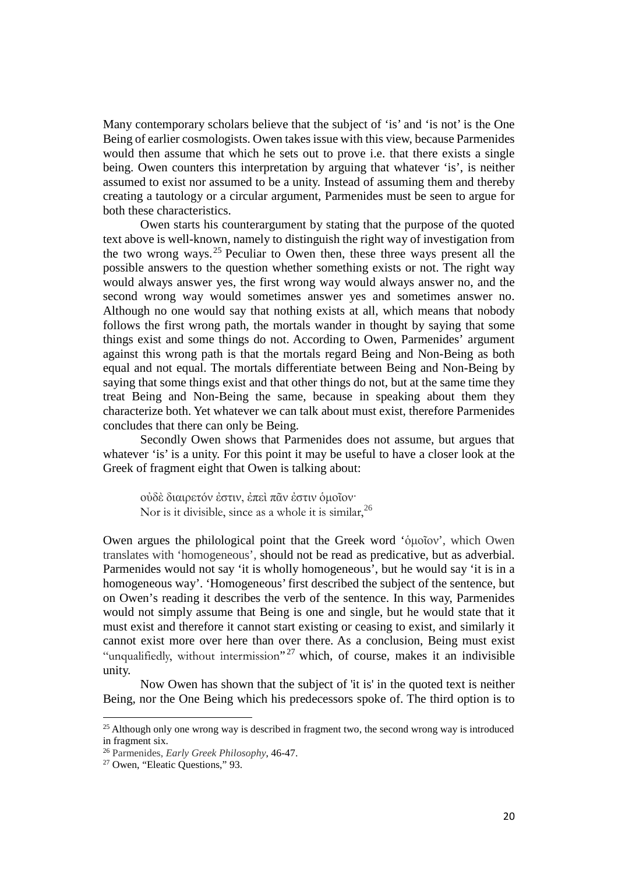Many contemporary scholars believe that the subject of 'is' and 'is not' is the One Being of earlier cosmologists. Owen takes issue with this view, because Parmenides would then assume that which he sets out to prove i.e. that there exists a single being. Owen counters this interpretation by arguing that whatever 'is', is neither assumed to exist nor assumed to be a unity. Instead of assuming them and thereby creating a tautology or a circular argument, Parmenides must be seen to argue for both these characteristics.

Owen starts his counterargument by stating that the purpose of the quoted text above is well-known, namely to distinguish the right way of investigation from the two wrong ways. [25](#page-19-0) Peculiar to Owen then, these three ways present all the possible answers to the question whether something exists or not. The right way would always answer yes, the first wrong way would always answer no, and the second wrong way would sometimes answer yes and sometimes answer no. Although no one would say that nothing exists at all, which means that nobody follows the first wrong path, the mortals wander in thought by saying that some things exist and some things do not. According to Owen, Parmenides' argument against this wrong path is that the mortals regard Being and Non-Being as both equal and not equal. The mortals differentiate between Being and Non-Being by saying that some things exist and that other things do not, but at the same time they treat Being and Non-Being the same, because in speaking about them they characterize both. Yet whatever we can talk about must exist, therefore Parmenides concludes that there can only be Being.

Secondly Owen shows that Parmenides does not assume, but argues that whatever 'is' is a unity. For this point it may be useful to have a closer look at the Greek of fragment eight that Owen is talking about:

οὐδὲ διαιρετόν ἐστιν, ἐπεὶ πᾶν ἐστιν ὁμοῖον· Nor is it divisible, since as a whole it is similar,  $^{26}$  $^{26}$  $^{26}$ 

Owen argues the philological point that the Greek word 'ὁμοῖον', which Owen translates with 'homogeneous', should not be read as predicative, but as adverbial. Parmenides would not say 'it is wholly homogeneous', but he would say 'it is in a homogeneous way'. 'Homogeneous' first described the subject of the sentence, but on Owen's reading it describes the verb of the sentence. In this way, Parmenides would not simply assume that Being is one and single, but he would state that it must exist and therefore it cannot start existing or ceasing to exist, and similarly it cannot exist more over here than over there. As a conclusion, Being must exist "unqualifiedly, without intermission"<sup>27</sup> which, of course, makes it an indivisible unity.

Now Owen has shown that the subject of 'it is' in the quoted text is neither Being, nor the One Being which his predecessors spoke of. The third option is to

<span id="page-19-0"></span><sup>&</sup>lt;sup>25</sup> Although only one wrong way is described in fragment two, the second wrong way is introduced in fragment six.

<span id="page-19-1"></span><sup>26</sup> Parmenides, *Early Greek Philosophy*, 46-47.

<span id="page-19-2"></span><sup>27</sup> Owen, "Eleatic Questions," 93.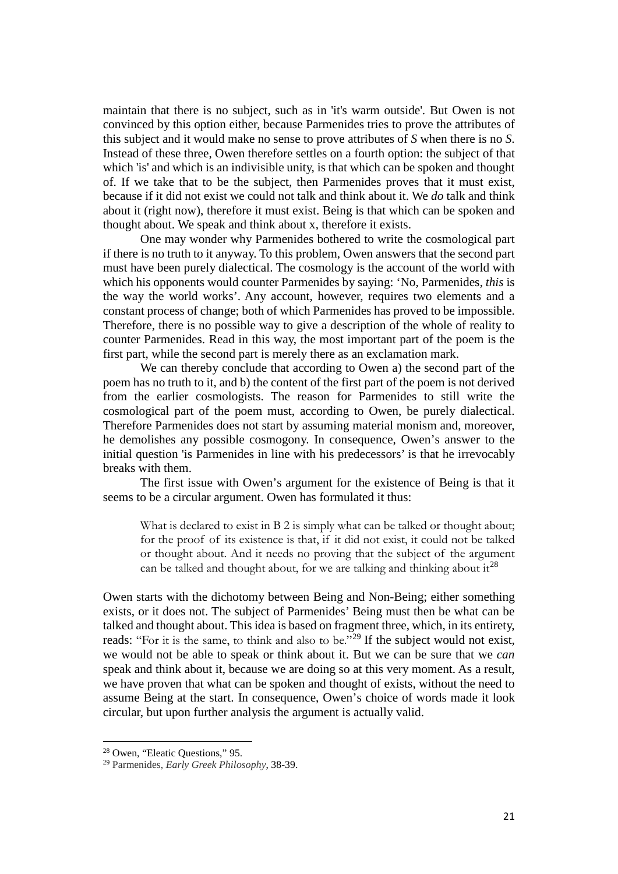maintain that there is no subject, such as in 'it's warm outside'. But Owen is not convinced by this option either, because Parmenides tries to prove the attributes of this subject and it would make no sense to prove attributes of *S* when there is no *S*. Instead of these three, Owen therefore settles on a fourth option: the subject of that which 'is' and which is an indivisible unity, is that which can be spoken and thought of. If we take that to be the subject, then Parmenides proves that it must exist, because if it did not exist we could not talk and think about it. We *do* talk and think about it (right now), therefore it must exist. Being is that which can be spoken and thought about. We speak and think about x, therefore it exists.

One may wonder why Parmenides bothered to write the cosmological part if there is no truth to it anyway. To this problem, Owen answers that the second part must have been purely dialectical. The cosmology is the account of the world with which his opponents would counter Parmenides by saying: 'No, Parmenides, *this* is the way the world works'. Any account, however, requires two elements and a constant process of change; both of which Parmenides has proved to be impossible. Therefore, there is no possible way to give a description of the whole of reality to counter Parmenides. Read in this way, the most important part of the poem is the first part, while the second part is merely there as an exclamation mark.

We can thereby conclude that according to Owen a) the second part of the poem has no truth to it, and b) the content of the first part of the poem is not derived from the earlier cosmologists. The reason for Parmenides to still write the cosmological part of the poem must, according to Owen, be purely dialectical. Therefore Parmenides does not start by assuming material monism and, moreover, he demolishes any possible cosmogony. In consequence, Owen's answer to the initial question 'is Parmenides in line with his predecessors' is that he irrevocably breaks with them.

The first issue with Owen's argument for the existence of Being is that it seems to be a circular argument. Owen has formulated it thus:

What is declared to exist in B 2 is simply what can be talked or thought about; for the proof of its existence is that, if it did not exist, it could not be talked or thought about. And it needs no proving that the subject of the argument can be talked and thought about, for we are talking and thinking about it<sup>[28](#page-20-0)</sup>

Owen starts with the dichotomy between Being and Non-Being; either something exists, or it does not. The subject of Parmenides' Being must then be what can be talked and thought about. This idea is based on fragment three, which, in its entirety, reads: "For it is the same, to think and also to be."<sup>[29](#page-20-1)</sup> If the subject would not exist, we would not be able to speak or think about it. But we can be sure that we *can*  speak and think about it, because we are doing so at this very moment. As a result, we have proven that what can be spoken and thought of exists, without the need to assume Being at the start. In consequence, Owen's choice of words made it look circular, but upon further analysis the argument is actually valid.

<span id="page-20-0"></span><sup>28</sup> Owen, "Eleatic Questions," 95.

<span id="page-20-1"></span><sup>29</sup> Parmenides, *Early Greek Philosophy*, 38-39.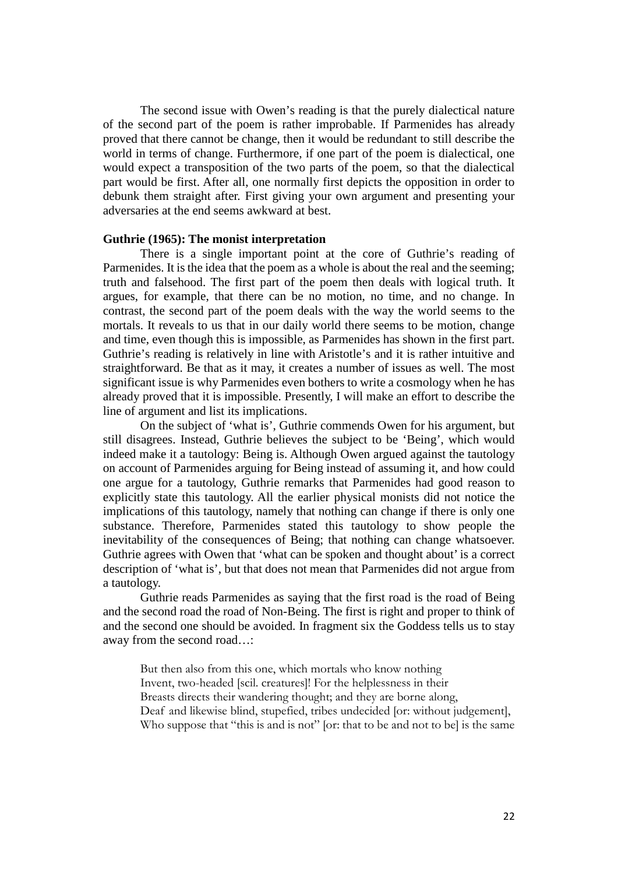The second issue with Owen's reading is that the purely dialectical nature of the second part of the poem is rather improbable. If Parmenides has already proved that there cannot be change, then it would be redundant to still describe the world in terms of change. Furthermore, if one part of the poem is dialectical, one would expect a transposition of the two parts of the poem, so that the dialectical part would be first. After all, one normally first depicts the opposition in order to debunk them straight after. First giving your own argument and presenting your adversaries at the end seems awkward at best.

#### **Guthrie (1965): The monist interpretation**

There is a single important point at the core of Guthrie's reading of Parmenides. It is the idea that the poem as a whole is about the real and the seeming; truth and falsehood. The first part of the poem then deals with logical truth. It argues, for example, that there can be no motion, no time, and no change. In contrast, the second part of the poem deals with the way the world seems to the mortals. It reveals to us that in our daily world there seems to be motion, change and time, even though this is impossible, as Parmenides has shown in the first part. Guthrie's reading is relatively in line with Aristotle's and it is rather intuitive and straightforward. Be that as it may, it creates a number of issues as well. The most significant issue is why Parmenides even bothers to write a cosmology when he has already proved that it is impossible. Presently, I will make an effort to describe the line of argument and list its implications.

On the subject of 'what is', Guthrie commends Owen for his argument, but still disagrees. Instead, Guthrie believes the subject to be 'Being', which would indeed make it a tautology: Being is. Although Owen argued against the tautology on account of Parmenides arguing for Being instead of assuming it, and how could one argue for a tautology, Guthrie remarks that Parmenides had good reason to explicitly state this tautology. All the earlier physical monists did not notice the implications of this tautology, namely that nothing can change if there is only one substance. Therefore, Parmenides stated this tautology to show people the inevitability of the consequences of Being; that nothing can change whatsoever. Guthrie agrees with Owen that 'what can be spoken and thought about' is a correct description of 'what is', but that does not mean that Parmenides did not argue from a tautology.

Guthrie reads Parmenides as saying that the first road is the road of Being and the second road the road of Non-Being. The first is right and proper to think of and the second one should be avoided. In fragment six the Goddess tells us to stay away from the second road…:

But then also from this one, which mortals who know nothing Invent, two-headed [scil. creatures]! For the helplessness in their Breasts directs their wandering thought; and they are borne along, Deaf and likewise blind, stupefied, tribes undecided [or: without judgement], Who suppose that "this is and is not" [or: that to be and not to be] is the same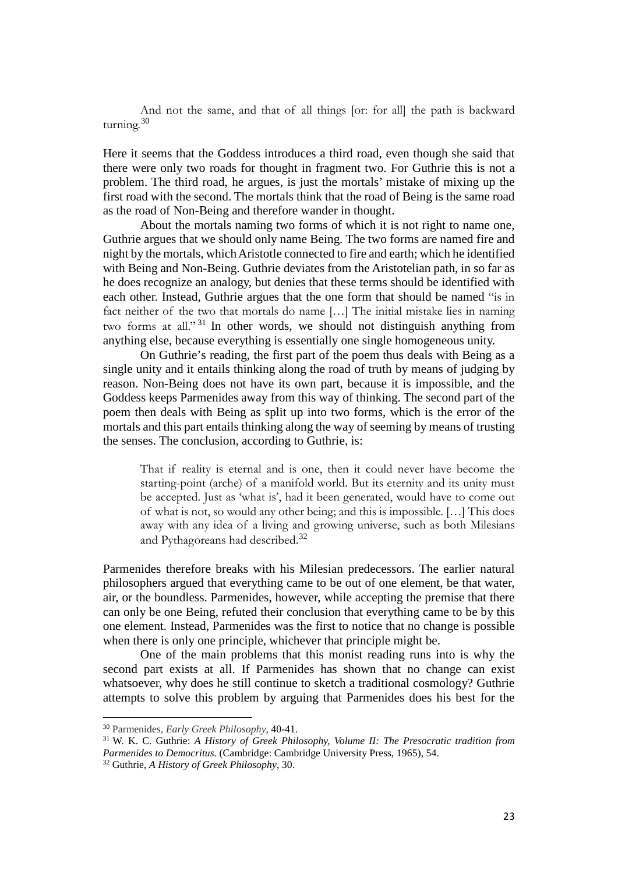And not the same, and that of all things [or: for all] the path is backward turning.<sup>[30](#page-22-0)</sup>

Here it seems that the Goddess introduces a third road, even though she said that there were only two roads for thought in fragment two. For Guthrie this is not a problem. The third road, he argues, is just the mortals' mistake of mixing up the first road with the second. The mortals think that the road of Being is the same road as the road of Non-Being and therefore wander in thought.

About the mortals naming two forms of which it is not right to name one, Guthrie argues that we should only name Being. The two forms are named fire and night by the mortals, which Aristotle connected to fire and earth; which he identified with Being and Non-Being. Guthrie deviates from the Aristotelian path, in so far as he does recognize an analogy, but denies that these terms should be identified with each other. Instead, Guthrie argues that the one form that should be named "is in fact neither of the two that mortals do name […] The initial mistake lies in naming two forms at all."<sup>31</sup> In other words, we should not distinguish anything from anything else, because everything is essentially one single homogeneous unity.

On Guthrie's reading, the first part of the poem thus deals with Being as a single unity and it entails thinking along the road of truth by means of judging by reason. Non-Being does not have its own part, because it is impossible, and the Goddess keeps Parmenides away from this way of thinking. The second part of the poem then deals with Being as split up into two forms, which is the error of the mortals and this part entails thinking along the way of seeming by means of trusting the senses. The conclusion, according to Guthrie, is:

That if reality is eternal and is one, then it could never have become the starting-point (arche) of a manifold world. But its eternity and its unity must be accepted. Just as 'what is', had it been generated, would have to come out of what is not, so would any other being; and this is impossible. […] This does away with any idea of a living and growing universe, such as both Milesians and Pythagoreans had described.[32](#page-22-2)

Parmenides therefore breaks with his Milesian predecessors. The earlier natural philosophers argued that everything came to be out of one element, be that water, air, or the boundless. Parmenides, however, while accepting the premise that there can only be one Being, refuted their conclusion that everything came to be by this one element. Instead, Parmenides was the first to notice that no change is possible when there is only one principle, whichever that principle might be.

One of the main problems that this monist reading runs into is why the second part exists at all. If Parmenides has shown that no change can exist whatsoever, why does he still continue to sketch a traditional cosmology? Guthrie attempts to solve this problem by arguing that Parmenides does his best for the

<span id="page-22-0"></span><sup>30</sup> Parmenides, *Early Greek Philosophy*, 40-41.

<span id="page-22-1"></span><sup>31</sup> W. K. C. Guthrie: *A History of Greek Philosophy, Volume II: The Presocratic tradition from Parmenides to Democritus.* (Cambridge: Cambridge University Press, 1965), 54.

<span id="page-22-2"></span><sup>32</sup> Guthrie, *A History of Greek Philosophy*, 30.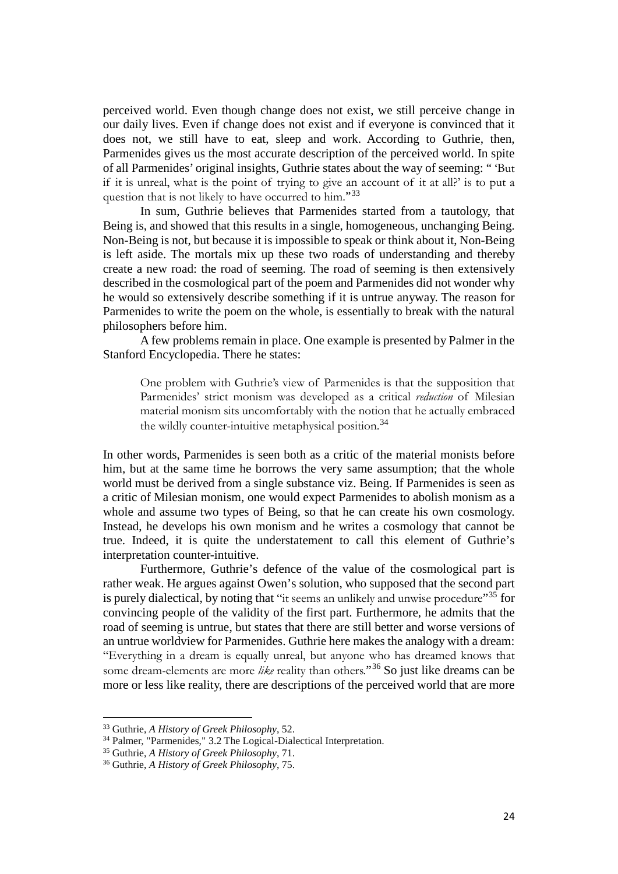perceived world. Even though change does not exist, we still perceive change in our daily lives. Even if change does not exist and if everyone is convinced that it does not, we still have to eat, sleep and work. According to Guthrie, then, Parmenides gives us the most accurate description of the perceived world. In spite of all Parmenides' original insights, Guthrie states about the way of seeming: " 'But if it is unreal, what is the point of trying to give an account of it at all?' is to put a question that is not likely to have occurred to him."[33](#page-23-0)

In sum, Guthrie believes that Parmenides started from a tautology, that Being is, and showed that this results in a single, homogeneous, unchanging Being. Non-Being is not, but because it is impossible to speak or think about it, Non-Being is left aside. The mortals mix up these two roads of understanding and thereby create a new road: the road of seeming. The road of seeming is then extensively described in the cosmological part of the poem and Parmenides did not wonder why he would so extensively describe something if it is untrue anyway. The reason for Parmenides to write the poem on the whole, is essentially to break with the natural philosophers before him.

A few problems remain in place. One example is presented by Palmer in the Stanford Encyclopedia. There he states:

One problem with Guthrie's view of Parmenides is that the supposition that Parmenides' strict monism was developed as a critical *reduction* of Milesian material monism sits uncomfortably with the notion that he actually embraced the wildly counter-intuitive metaphysical position.<sup>[34](#page-23-1)</sup>

In other words, Parmenides is seen both as a critic of the material monists before him, but at the same time he borrows the very same assumption; that the whole world must be derived from a single substance viz. Being. If Parmenides is seen as a critic of Milesian monism, one would expect Parmenides to abolish monism as a whole and assume two types of Being, so that he can create his own cosmology. Instead, he develops his own monism and he writes a cosmology that cannot be true. Indeed, it is quite the understatement to call this element of Guthrie's interpretation counter-intuitive.

Furthermore, Guthrie's defence of the value of the cosmological part is rather weak. He argues against Owen's solution, who supposed that the second part is purely dialectical, by noting that "it seems an unlikely and unwise procedure"<sup>[35](#page-23-2)</sup> for convincing people of the validity of the first part. Furthermore, he admits that the road of seeming is untrue, but states that there are still better and worse versions of an untrue worldview for Parmenides. Guthrie here makes the analogy with a dream: "Everything in a dream is equally unreal, but anyone who has dreamed knows that some dream-elements are more *like* reality than others."[36](#page-23-3) So just like dreams can be more or less like reality, there are descriptions of the perceived world that are more

<span id="page-23-0"></span><sup>33</sup> Guthrie, *A History of Greek Philosophy*, 52.

<span id="page-23-1"></span><sup>34</sup> Palmer, "Parmenides," 3.2 The Logical-Dialectical Interpretation.

<span id="page-23-2"></span><sup>35</sup> Guthrie, *A History of Greek Philosophy*, 71.

<span id="page-23-3"></span><sup>36</sup> Guthrie, *A History of Greek Philosophy*, 75.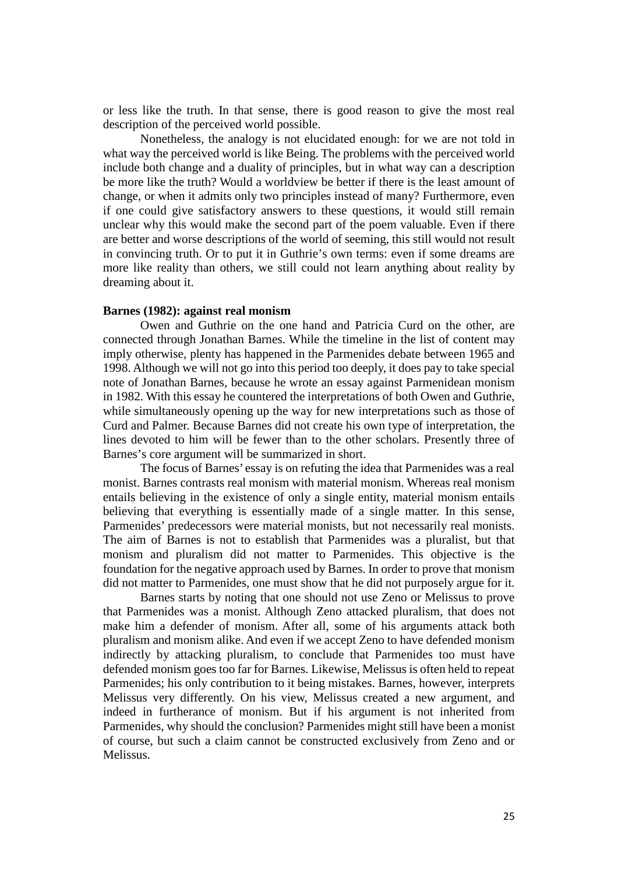or less like the truth. In that sense, there is good reason to give the most real description of the perceived world possible.

Nonetheless, the analogy is not elucidated enough: for we are not told in what way the perceived world is like Being. The problems with the perceived world include both change and a duality of principles, but in what way can a description be more like the truth? Would a worldview be better if there is the least amount of change, or when it admits only two principles instead of many? Furthermore, even if one could give satisfactory answers to these questions, it would still remain unclear why this would make the second part of the poem valuable. Even if there are better and worse descriptions of the world of seeming, this still would not result in convincing truth. Or to put it in Guthrie's own terms: even if some dreams are more like reality than others, we still could not learn anything about reality by dreaming about it.

# **Barnes (1982): against real monism**

Owen and Guthrie on the one hand and Patricia Curd on the other, are connected through Jonathan Barnes. While the timeline in the list of content may imply otherwise, plenty has happened in the Parmenides debate between 1965 and 1998. Although we will not go into this period too deeply, it does pay to take special note of Jonathan Barnes, because he wrote an essay against Parmenidean monism in 1982. With this essay he countered the interpretations of both Owen and Guthrie, while simultaneously opening up the way for new interpretations such as those of Curd and Palmer. Because Barnes did not create his own type of interpretation, the lines devoted to him will be fewer than to the other scholars. Presently three of Barnes's core argument will be summarized in short.

The focus of Barnes' essay is on refuting the idea that Parmenides was a real monist. Barnes contrasts real monism with material monism. Whereas real monism entails believing in the existence of only a single entity, material monism entails believing that everything is essentially made of a single matter. In this sense, Parmenides' predecessors were material monists, but not necessarily real monists. The aim of Barnes is not to establish that Parmenides was a pluralist, but that monism and pluralism did not matter to Parmenides. This objective is the foundation for the negative approach used by Barnes. In order to prove that monism did not matter to Parmenides, one must show that he did not purposely argue for it.

Barnes starts by noting that one should not use Zeno or Melissus to prove that Parmenides was a monist. Although Zeno attacked pluralism, that does not make him a defender of monism. After all, some of his arguments attack both pluralism and monism alike. And even if we accept Zeno to have defended monism indirectly by attacking pluralism, to conclude that Parmenides too must have defended monism goes too far for Barnes. Likewise, Melissus is often held to repeat Parmenides; his only contribution to it being mistakes. Barnes, however, interprets Melissus very differently. On his view, Melissus created a new argument, and indeed in furtherance of monism. But if his argument is not inherited from Parmenides, why should the conclusion? Parmenides might still have been a monist of course, but such a claim cannot be constructed exclusively from Zeno and or Melissus.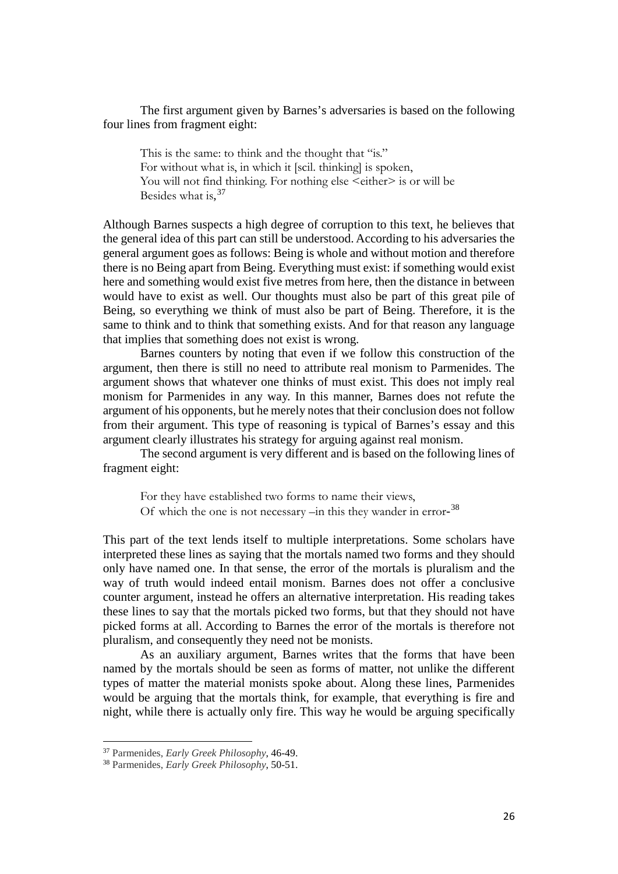The first argument given by Barnes's adversaries is based on the following four lines from fragment eight:

This is the same: to think and the thought that "is." For without what is, in which it [scil. thinking] is spoken, You will not find thinking. For nothing else <either> is or will be Besides what is, [37](#page-25-0)

Although Barnes suspects a high degree of corruption to this text, he believes that the general idea of this part can still be understood. According to his adversaries the general argument goes as follows: Being is whole and without motion and therefore there is no Being apart from Being. Everything must exist: if something would exist here and something would exist five metres from here, then the distance in between would have to exist as well. Our thoughts must also be part of this great pile of Being, so everything we think of must also be part of Being. Therefore, it is the same to think and to think that something exists. And for that reason any language that implies that something does not exist is wrong.

Barnes counters by noting that even if we follow this construction of the argument, then there is still no need to attribute real monism to Parmenides. The argument shows that whatever one thinks of must exist. This does not imply real monism for Parmenides in any way. In this manner, Barnes does not refute the argument of his opponents, but he merely notes that their conclusion does not follow from their argument. This type of reasoning is typical of Barnes's essay and this argument clearly illustrates his strategy for arguing against real monism.

The second argument is very different and is based on the following lines of fragment eight:

For they have established two forms to name their views, Of which the one is not necessary –in this they wander in error-[38](#page-25-1)

This part of the text lends itself to multiple interpretations. Some scholars have interpreted these lines as saying that the mortals named two forms and they should only have named one. In that sense, the error of the mortals is pluralism and the way of truth would indeed entail monism. Barnes does not offer a conclusive counter argument, instead he offers an alternative interpretation. His reading takes these lines to say that the mortals picked two forms, but that they should not have picked forms at all. According to Barnes the error of the mortals is therefore not pluralism, and consequently they need not be monists.

As an auxiliary argument, Barnes writes that the forms that have been named by the mortals should be seen as forms of matter, not unlike the different types of matter the material monists spoke about. Along these lines, Parmenides would be arguing that the mortals think, for example, that everything is fire and night, while there is actually only fire. This way he would be arguing specifically

<span id="page-25-0"></span><sup>37</sup> Parmenides, *Early Greek Philosophy*, 46-49.

<span id="page-25-1"></span><sup>38</sup> Parmenides, *Early Greek Philosophy*, 50-51.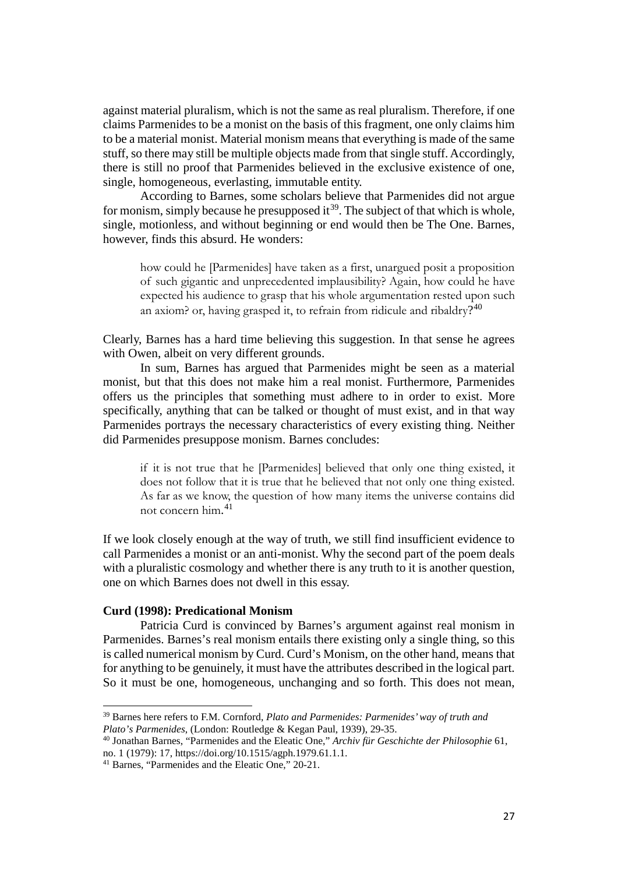against material pluralism, which is not the same as real pluralism. Therefore, if one claims Parmenides to be a monist on the basis of this fragment, one only claims him to be a material monist. Material monism means that everything is made of the same stuff, so there may still be multiple objects made from that single stuff. Accordingly, there is still no proof that Parmenides believed in the exclusive existence of one, single, homogeneous, everlasting, immutable entity.

According to Barnes, some scholars believe that Parmenides did not argue for monism, simply because he presupposed it  $39$ . The subject of that which is whole, single, motionless, and without beginning or end would then be The One. Barnes, however, finds this absurd. He wonders:

how could he [Parmenides] have taken as a first, unargued posit a proposition of such gigantic and unprecedented implausibility? Again, how could he have expected his audience to grasp that his whole argumentation rested upon such an axiom? or, having grasped it, to refrain from ridicule and ribaldry?<sup>[40](#page-26-1)</sup>

Clearly, Barnes has a hard time believing this suggestion. In that sense he agrees with Owen, albeit on very different grounds.

In sum, Barnes has argued that Parmenides might be seen as a material monist, but that this does not make him a real monist. Furthermore, Parmenides offers us the principles that something must adhere to in order to exist. More specifically, anything that can be talked or thought of must exist, and in that way Parmenides portrays the necessary characteristics of every existing thing. Neither did Parmenides presuppose monism. Barnes concludes:

if it is not true that he [Parmenides] believed that only one thing existed, it does not follow that it is true that he believed that not only one thing existed. As far as we know, the question of how many items the universe contains did not concern him. [41](#page-26-2)

If we look closely enough at the way of truth, we still find insufficient evidence to call Parmenides a monist or an anti-monist. Why the second part of the poem deals with a pluralistic cosmology and whether there is any truth to it is another question, one on which Barnes does not dwell in this essay.

## **Curd (1998): Predicational Monism**

l

Patricia Curd is convinced by Barnes's argument against real monism in Parmenides. Barnes's real monism entails there existing only a single thing, so this is called numerical monism by Curd. Curd's Monism, on the other hand, means that for anything to be genuinely, it must have the attributes described in the logical part. So it must be one, homogeneous, unchanging and so forth. This does not mean,

<span id="page-26-0"></span><sup>39</sup> Barnes here refers to F.M. Cornford, *Plato and Parmenides: Parmenides' way of truth and Plato's Parmenides*, (London: Routledge & Kegan Paul, 1939), 29-35.

<span id="page-26-1"></span><sup>40</sup> Jonathan Barnes, "Parmenides and the Eleatic One," *Archiv für Geschichte der Philosophie* 61, no. 1 (1979): 17, https://doi.org/10.1515/agph.1979.61.1.1.

<span id="page-26-2"></span><sup>41</sup> Barnes, "Parmenides and the Eleatic One," 20-21.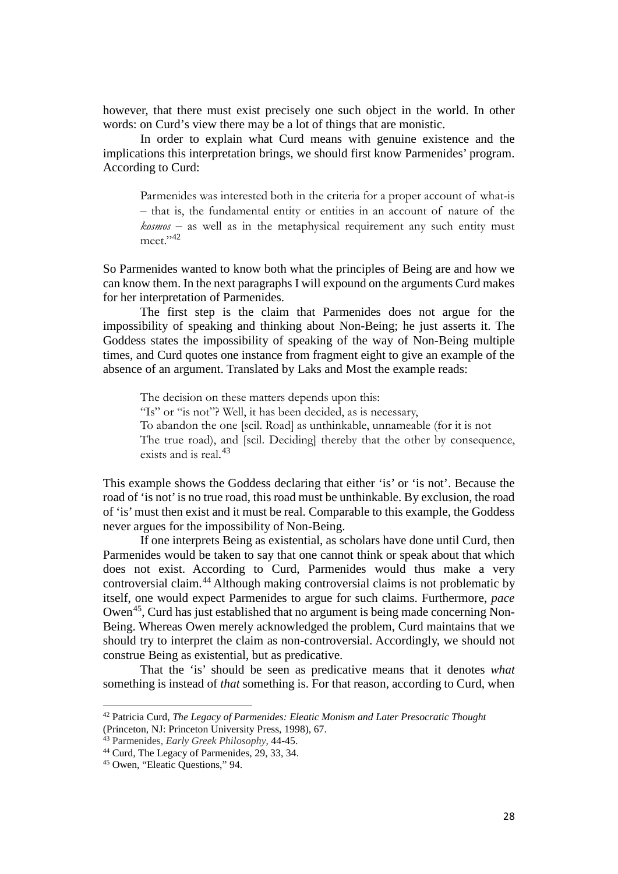however, that there must exist precisely one such object in the world. In other words: on Curd's view there may be a lot of things that are monistic.

In order to explain what Curd means with genuine existence and the implications this interpretation brings, we should first know Parmenides' program. According to Curd:

Parmenides was interested both in the criteria for a proper account of what-is ‒ that is, the fundamental entity or entities in an account of nature of the  $k \text{osmos}$  – as well as in the metaphysical requirement any such entity must meet."[42](#page-27-0)

So Parmenides wanted to know both what the principles of Being are and how we can know them. In the next paragraphs I will expound on the arguments Curd makes for her interpretation of Parmenides.

The first step is the claim that Parmenides does not argue for the impossibility of speaking and thinking about Non-Being; he just asserts it. The Goddess states the impossibility of speaking of the way of Non-Being multiple times, and Curd quotes one instance from fragment eight to give an example of the absence of an argument. Translated by Laks and Most the example reads:

The decision on these matters depends upon this: "Is" or "is not"? Well, it has been decided, as is necessary, To abandon the one [scil. Road] as unthinkable, unnameable (for it is not The true road), and [scil. Deciding] thereby that the other by consequence, exists and is real. [43](#page-27-1)

This example shows the Goddess declaring that either 'is' or 'is not'. Because the road of 'is not' is no true road, this road must be unthinkable. By exclusion, the road of 'is' must then exist and it must be real. Comparable to this example, the Goddess never argues for the impossibility of Non-Being.

If one interprets Being as existential, as scholars have done until Curd, then Parmenides would be taken to say that one cannot think or speak about that which does not exist. According to Curd, Parmenides would thus make a very controversial claim.[44](#page-27-2) Although making controversial claims is not problematic by itself, one would expect Parmenides to argue for such claims. Furthermore, *pace*  Owen<sup>45</sup>, Curd has just established that no argument is being made concerning Non-Being. Whereas Owen merely acknowledged the problem, Curd maintains that we should try to interpret the claim as non-controversial. Accordingly, we should not construe Being as existential, but as predicative.

That the 'is' should be seen as predicative means that it denotes *what*  something is instead of *that* something is. For that reason, according to Curd, when

l

<span id="page-27-0"></span><sup>42</sup> Patricia Curd, *The Legacy of Parmenides: Eleatic Monism and Later Presocratic Thought*  (Princeton, NJ: Princeton University Press, 1998), 67.

<span id="page-27-1"></span><sup>43</sup> Parmenides, *Early Greek Philosophy*, 44-45.

<span id="page-27-2"></span><sup>44</sup> Curd, The Legacy of Parmenides, 29, 33, 34.

<span id="page-27-3"></span><sup>45</sup> Owen, "Eleatic Questions," 94.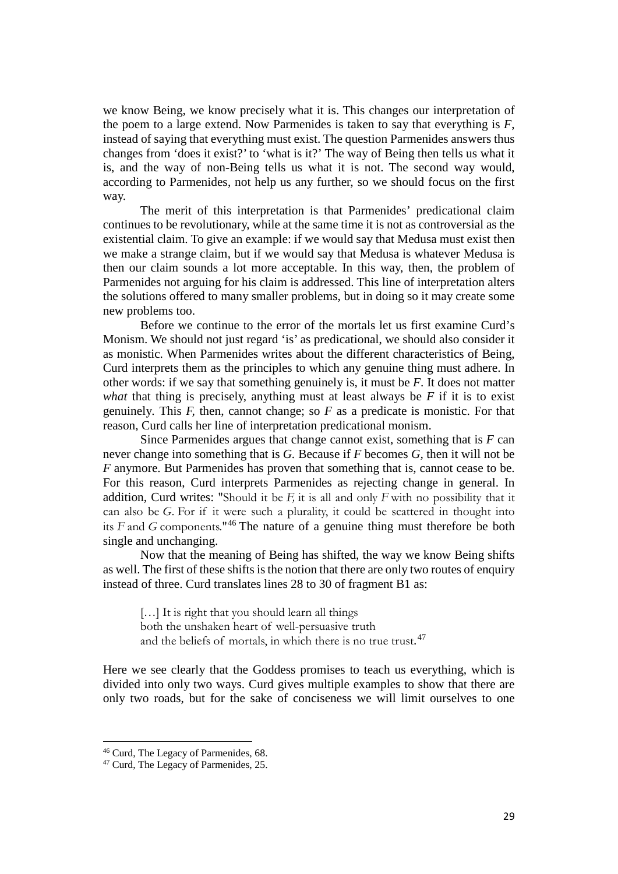we know Being, we know precisely what it is. This changes our interpretation of the poem to a large extend. Now Parmenides is taken to say that everything is *F*, instead of saying that everything must exist. The question Parmenides answers thus changes from 'does it exist?' to 'what is it?' The way of Being then tells us what it is, and the way of non-Being tells us what it is not. The second way would, according to Parmenides, not help us any further, so we should focus on the first way.

The merit of this interpretation is that Parmenides' predicational claim continues to be revolutionary, while at the same time it is not as controversial as the existential claim. To give an example: if we would say that Medusa must exist then we make a strange claim, but if we would say that Medusa is whatever Medusa is then our claim sounds a lot more acceptable. In this way, then, the problem of Parmenides not arguing for his claim is addressed. This line of interpretation alters the solutions offered to many smaller problems, but in doing so it may create some new problems too.

Before we continue to the error of the mortals let us first examine Curd's Monism. We should not just regard 'is' as predicational, we should also consider it as monistic. When Parmenides writes about the different characteristics of Being, Curd interprets them as the principles to which any genuine thing must adhere. In other words: if we say that something genuinely is, it must be *F*. It does not matter *what* that thing is precisely, anything must at least always be  $F$  if it is to exist genuinely*.* This *F,* then, cannot change; so *F* as a predicate is monistic. For that reason, Curd calls her line of interpretation predicational monism.

Since Parmenides argues that change cannot exist, something that is *F* can never change into something that is *G.* Because if *F* becomes *G,* then it will not be *F* anymore. But Parmenides has proven that something that is, cannot cease to be. For this reason, Curd interprets Parmenides as rejecting change in general. In addition, Curd writes: "Should it be *F,* it is all and only *F* with no possibility that it can also be *G.* For if it were such a plurality, it could be scattered in thought into its *F* and *G* components."[46](#page-28-0) The nature of a genuine thing must therefore be both single and unchanging.

Now that the meaning of Being has shifted, the way we know Being shifts as well. The first of these shifts is the notion that there are only two routes of enquiry instead of three. Curd translates lines 28 to 30 of fragment B1 as:

[...] It is right that you should learn all things both the unshaken heart of well-persuasive truth and the beliefs of mortals, in which there is no true trust.<sup>[47](#page-28-1)</sup>

Here we see clearly that the Goddess promises to teach us everything, which is divided into only two ways. Curd gives multiple examples to show that there are only two roads, but for the sake of conciseness we will limit ourselves to one

<span id="page-28-0"></span><sup>46</sup> Curd, The Legacy of Parmenides, 68.

<span id="page-28-1"></span><sup>47</sup> Curd, The Legacy of Parmenides, 25.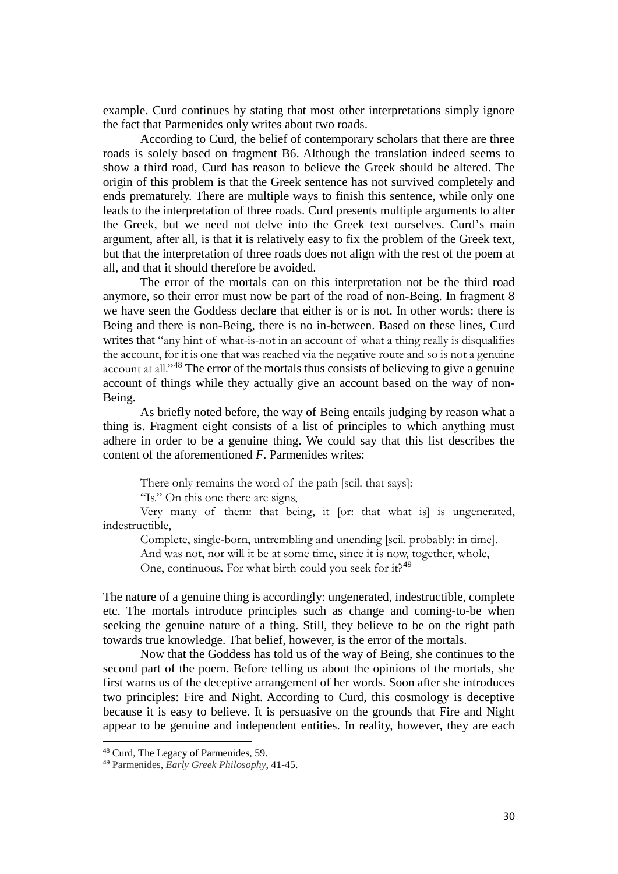example. Curd continues by stating that most other interpretations simply ignore the fact that Parmenides only writes about two roads.

According to Curd, the belief of contemporary scholars that there are three roads is solely based on fragment B6. Although the translation indeed seems to show a third road, Curd has reason to believe the Greek should be altered. The origin of this problem is that the Greek sentence has not survived completely and ends prematurely. There are multiple ways to finish this sentence, while only one leads to the interpretation of three roads. Curd presents multiple arguments to alter the Greek, but we need not delve into the Greek text ourselves. Curd's main argument, after all, is that it is relatively easy to fix the problem of the Greek text, but that the interpretation of three roads does not align with the rest of the poem at all, and that it should therefore be avoided.

The error of the mortals can on this interpretation not be the third road anymore, so their error must now be part of the road of non-Being. In fragment 8 we have seen the Goddess declare that either is or is not. In other words: there is Being and there is non-Being, there is no in-between. Based on these lines, Curd writes that "any hint of what-is-not in an account of what a thing really is disqualifies the account, for it is one that was reached via the negative route and so is not a genuine account at all."[48](#page-29-0) The error of the mortals thus consists of believing to give a genuine account of things while they actually give an account based on the way of non-Being.

As briefly noted before, the way of Being entails judging by reason what a thing is. Fragment eight consists of a list of principles to which anything must adhere in order to be a genuine thing. We could say that this list describes the content of the aforementioned *F*. Parmenides writes:

There only remains the word of the path [scil. that says]:

"Is." On this one there are signs,

Very many of them: that being, it [or: that what is] is ungenerated, indestructible,

Complete, single-born, untrembling and unending [scil. probably: in time].

And was not, nor will it be at some time, since it is now, together, whole,

One, continuous. For what birth could you seek for it?<sup>[49](#page-29-1)</sup>

The nature of a genuine thing is accordingly: ungenerated, indestructible, complete etc. The mortals introduce principles such as change and coming-to-be when seeking the genuine nature of a thing. Still, they believe to be on the right path towards true knowledge. That belief, however, is the error of the mortals.

Now that the Goddess has told us of the way of Being, she continues to the second part of the poem. Before telling us about the opinions of the mortals, she first warns us of the deceptive arrangement of her words. Soon after she introduces two principles: Fire and Night. According to Curd, this cosmology is deceptive because it is easy to believe. It is persuasive on the grounds that Fire and Night appear to be genuine and independent entities. In reality, however, they are each

<span id="page-29-0"></span><sup>48</sup> Curd, The Legacy of Parmenides, 59.

<span id="page-29-1"></span><sup>49</sup> Parmenides, *Early Greek Philosophy*, 41-45.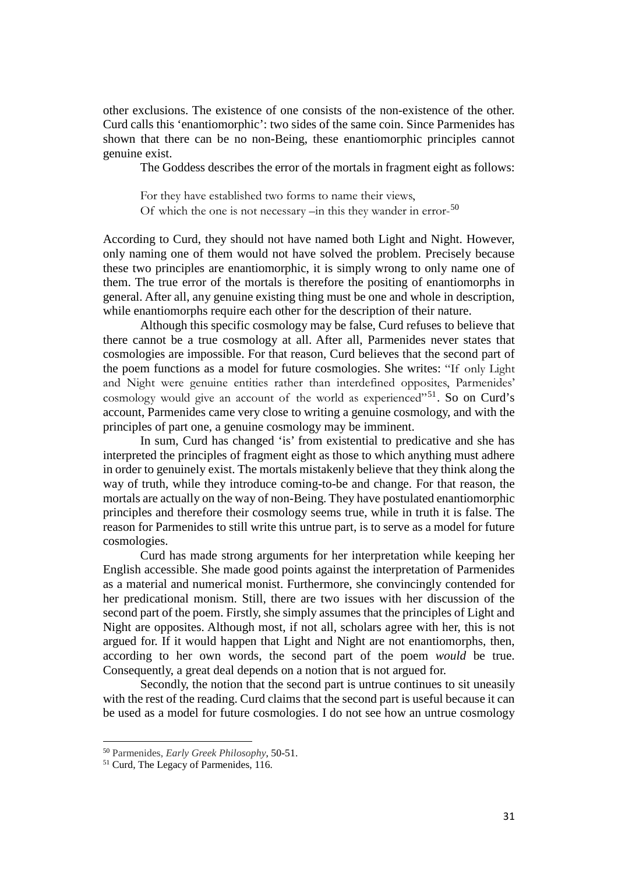other exclusions. The existence of one consists of the non-existence of the other. Curd calls this 'enantiomorphic': two sides of the same coin. Since Parmenides has shown that there can be no non-Being, these enantiomorphic principles cannot genuine exist.

The Goddess describes the error of the mortals in fragment eight as follows:

For they have established two forms to name their views, Of which the one is not necessary –in this they wander in error-<sup>[50](#page-30-0)</sup>

According to Curd, they should not have named both Light and Night. However, only naming one of them would not have solved the problem. Precisely because these two principles are enantiomorphic, it is simply wrong to only name one of them. The true error of the mortals is therefore the positing of enantiomorphs in general. After all, any genuine existing thing must be one and whole in description, while enantiomorphs require each other for the description of their nature.

Although this specific cosmology may be false, Curd refuses to believe that there cannot be a true cosmology at all. After all, Parmenides never states that cosmologies are impossible. For that reason, Curd believes that the second part of the poem functions as a model for future cosmologies. She writes: "If only Light and Night were genuine entities rather than interdefined opposites, Parmenides' cosmology would give an account of the world as experienced"<sup>[51](#page-30-1)</sup>. So on Curd's account, Parmenides came very close to writing a genuine cosmology, and with the principles of part one, a genuine cosmology may be imminent.

In sum, Curd has changed 'is' from existential to predicative and she has interpreted the principles of fragment eight as those to which anything must adhere in order to genuinely exist. The mortals mistakenly believe that they think along the way of truth, while they introduce coming-to-be and change. For that reason, the mortals are actually on the way of non-Being. They have postulated enantiomorphic principles and therefore their cosmology seems true, while in truth it is false. The reason for Parmenides to still write this untrue part, is to serve as a model for future cosmologies.

Curd has made strong arguments for her interpretation while keeping her English accessible. She made good points against the interpretation of Parmenides as a material and numerical monist. Furthermore, she convincingly contended for her predicational monism. Still, there are two issues with her discussion of the second part of the poem. Firstly, she simply assumes that the principles of Light and Night are opposites. Although most, if not all, scholars agree with her, this is not argued for. If it would happen that Light and Night are not enantiomorphs, then, according to her own words, the second part of the poem *would* be true. Consequently, a great deal depends on a notion that is not argued for.

Secondly, the notion that the second part is untrue continues to sit uneasily with the rest of the reading. Curd claims that the second part is useful because it can be used as a model for future cosmologies. I do not see how an untrue cosmology

<span id="page-30-0"></span><sup>50</sup> Parmenides, *Early Greek Philosophy*, 50-51.

<span id="page-30-1"></span><sup>51</sup> Curd, The Legacy of Parmenides, 116.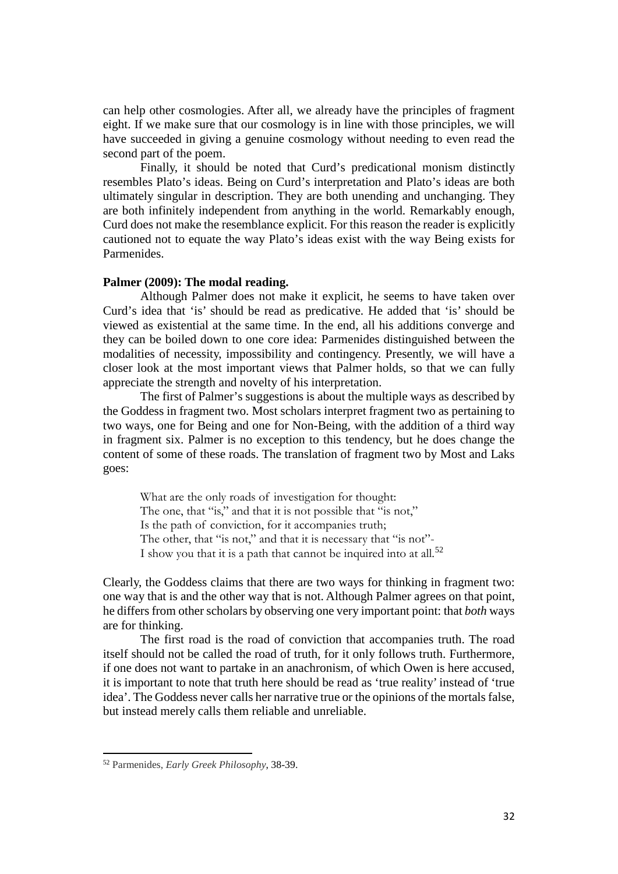can help other cosmologies. After all, we already have the principles of fragment eight. If we make sure that our cosmology is in line with those principles, we will have succeeded in giving a genuine cosmology without needing to even read the second part of the poem.

Finally, it should be noted that Curd's predicational monism distinctly resembles Plato's ideas. Being on Curd's interpretation and Plato's ideas are both ultimately singular in description. They are both unending and unchanging. They are both infinitely independent from anything in the world. Remarkably enough, Curd does not make the resemblance explicit. For this reason the reader is explicitly cautioned not to equate the way Plato's ideas exist with the way Being exists for Parmenides.

# **Palmer (2009): The modal reading.**

Although Palmer does not make it explicit, he seems to have taken over Curd's idea that 'is' should be read as predicative. He added that 'is' should be viewed as existential at the same time. In the end, all his additions converge and they can be boiled down to one core idea: Parmenides distinguished between the modalities of necessity, impossibility and contingency. Presently, we will have a closer look at the most important views that Palmer holds, so that we can fully appreciate the strength and novelty of his interpretation.

The first of Palmer's suggestions is about the multiple ways as described by the Goddess in fragment two. Most scholars interpret fragment two as pertaining to two ways, one for Being and one for Non-Being, with the addition of a third way in fragment six. Palmer is no exception to this tendency, but he does change the content of some of these roads. The translation of fragment two by Most and Laks goes:

What are the only roads of investigation for thought: The one, that "is," and that it is not possible that "is not," Is the path of conviction, for it accompanies truth; The other, that "is not," and that it is necessary that "is not"-I show you that it is a path that cannot be inquired into at all.<sup>[52](#page-31-0)</sup>

Clearly, the Goddess claims that there are two ways for thinking in fragment two: one way that is and the other way that is not. Although Palmer agrees on that point, he differs from other scholars by observing one very important point: that *both* ways are for thinking.

The first road is the road of conviction that accompanies truth. The road itself should not be called the road of truth, for it only follows truth. Furthermore, if one does not want to partake in an anachronism, of which Owen is here accused, it is important to note that truth here should be read as 'true reality' instead of 'true idea'. The Goddess never calls her narrative true or the opinions of the mortals false, but instead merely calls them reliable and unreliable.

<span id="page-31-0"></span><sup>52</sup> Parmenides, *Early Greek Philosophy*, 38-39.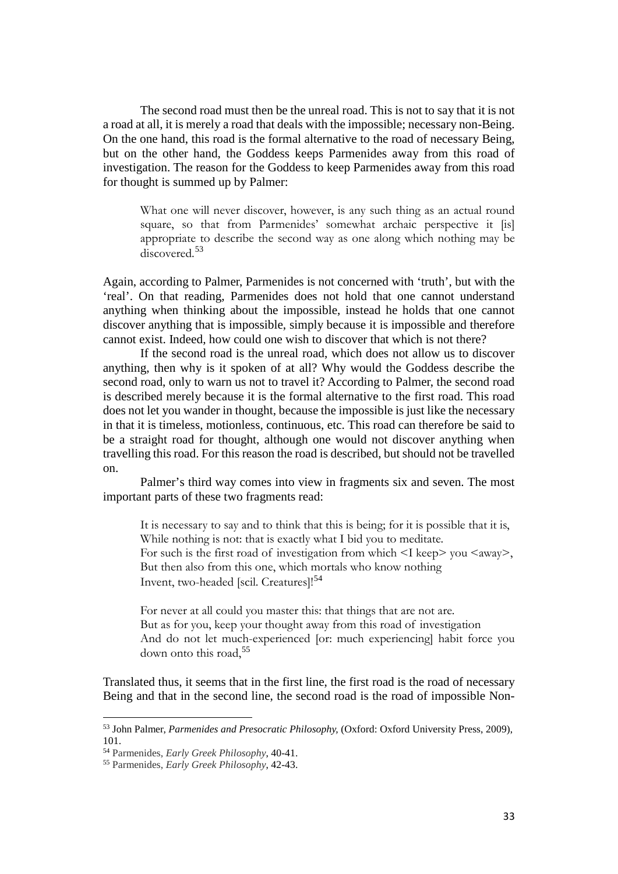The second road must then be the unreal road. This is not to say that it is not a road at all, it is merely a road that deals with the impossible; necessary non-Being. On the one hand, this road is the formal alternative to the road of necessary Being, but on the other hand, the Goddess keeps Parmenides away from this road of investigation. The reason for the Goddess to keep Parmenides away from this road for thought is summed up by Palmer:

What one will never discover, however, is any such thing as an actual round square, so that from Parmenides' somewhat archaic perspective it [is] appropriate to describe the second way as one along which nothing may be discovered.<sup>[53](#page-32-0)</sup>

Again, according to Palmer, Parmenides is not concerned with 'truth', but with the 'real'. On that reading, Parmenides does not hold that one cannot understand anything when thinking about the impossible, instead he holds that one cannot discover anything that is impossible, simply because it is impossible and therefore cannot exist. Indeed, how could one wish to discover that which is not there?

If the second road is the unreal road, which does not allow us to discover anything, then why is it spoken of at all? Why would the Goddess describe the second road, only to warn us not to travel it? According to Palmer, the second road is described merely because it is the formal alternative to the first road. This road does not let you wander in thought, because the impossible is just like the necessary in that it is timeless, motionless, continuous, etc. This road can therefore be said to be a straight road for thought, although one would not discover anything when travelling this road. For this reason the road is described, but should not be travelled on.

Palmer's third way comes into view in fragments six and seven. The most important parts of these two fragments read:

It is necessary to say and to think that this is being; for it is possible that it is, While nothing is not: that is exactly what I bid you to meditate. For such is the first road of investigation from which  $\leq$  keep> you  $\leq$ away>, But then also from this one, which mortals who know nothing Invent, two-headed [scil. Creatures]!<sup>[54](#page-32-1)</sup>

For never at all could you master this: that things that are not are. But as for you, keep your thought away from this road of investigation And do not let much-experienced [or: much experiencing] habit force you down onto this road,[55](#page-32-2)

Translated thus, it seems that in the first line, the first road is the road of necessary Being and that in the second line, the second road is the road of impossible Non-

<span id="page-32-0"></span><sup>53</sup> John Palmer, *Parmenides and Presocratic Philosophy,* (Oxford: Oxford University Press, 2009), 101.

<span id="page-32-1"></span><sup>54</sup> Parmenides, *Early Greek Philosophy*, 40-41.

<span id="page-32-2"></span><sup>55</sup> Parmenides, *Early Greek Philosophy*, 42-43.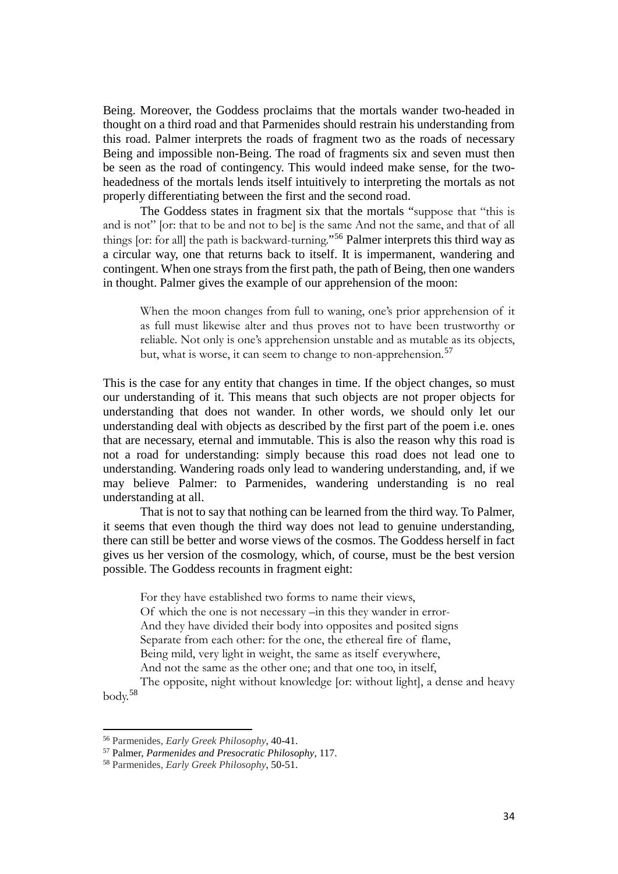Being. Moreover, the Goddess proclaims that the mortals wander two-headed in thought on a third road and that Parmenides should restrain his understanding from this road. Palmer interprets the roads of fragment two as the roads of necessary Being and impossible non-Being. The road of fragments six and seven must then be seen as the road of contingency. This would indeed make sense, for the twoheadedness of the mortals lends itself intuitively to interpreting the mortals as not properly differentiating between the first and the second road.

The Goddess states in fragment six that the mortals "suppose that "this is and is not" [or: that to be and not to be] is the same And not the same, and that of all things [or: for all] the path is backward-turning."[56](#page-33-0) Palmer interprets this third way as a circular way, one that returns back to itself. It is impermanent, wandering and contingent. When one strays from the first path, the path of Being, then one wanders in thought. Palmer gives the example of our apprehension of the moon:

When the moon changes from full to waning, one's prior apprehension of it as full must likewise alter and thus proves not to have been trustworthy or reliable. Not only is one's apprehension unstable and as mutable as its objects, but, what is worse, it can seem to change to non-apprehension.<sup>[57](#page-33-1)</sup>

This is the case for any entity that changes in time. If the object changes, so must our understanding of it. This means that such objects are not proper objects for understanding that does not wander. In other words, we should only let our understanding deal with objects as described by the first part of the poem i.e. ones that are necessary, eternal and immutable. This is also the reason why this road is not a road for understanding: simply because this road does not lead one to understanding. Wandering roads only lead to wandering understanding, and, if we may believe Palmer: to Parmenides, wandering understanding is no real understanding at all.

That is not to say that nothing can be learned from the third way. To Palmer, it seems that even though the third way does not lead to genuine understanding, there can still be better and worse views of the cosmos. The Goddess herself in fact gives us her version of the cosmology, which, of course, must be the best version possible. The Goddess recounts in fragment eight:

For they have established two forms to name their views, Of which the one is not necessary –in this they wander in error-And they have divided their body into opposites and posited signs Separate from each other: for the one, the ethereal fire of flame, Being mild, very light in weight, the same as itself everywhere, And not the same as the other one; and that one too, in itself,

The opposite, night without knowledge [or: without light], a dense and heavy body.[58](#page-33-2)

l

<span id="page-33-0"></span><sup>56</sup> Parmenides, *Early Greek Philosophy*, 40-41.

<span id="page-33-1"></span><sup>57</sup> Palmer, *Parmenides and Presocratic Philosophy*, 117.

<span id="page-33-2"></span><sup>58</sup> Parmenides, *Early Greek Philosophy*, 50-51.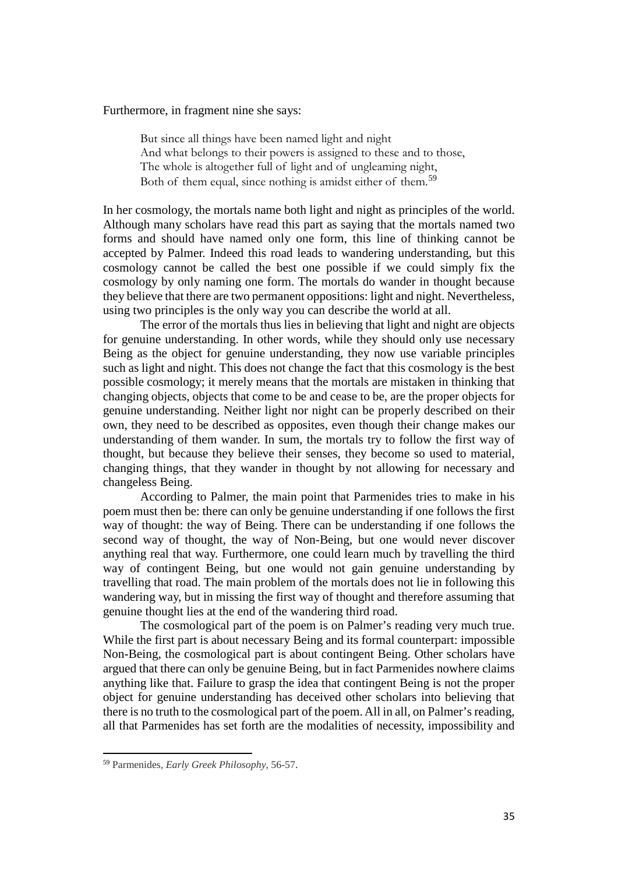# Furthermore, in fragment nine she says:

But since all things have been named light and night And what belongs to their powers is assigned to these and to those, The whole is altogether full of light and of ungleaming night, Both of them equal, since nothing is amidst either of them.<sup>[59](#page-34-0)</sup>

In her cosmology, the mortals name both light and night as principles of the world. Although many scholars have read this part as saying that the mortals named two forms and should have named only one form, this line of thinking cannot be accepted by Palmer. Indeed this road leads to wandering understanding, but this cosmology cannot be called the best one possible if we could simply fix the cosmology by only naming one form. The mortals do wander in thought because they believe that there are two permanent oppositions: light and night. Nevertheless, using two principles is the only way you can describe the world at all.

The error of the mortals thus lies in believing that light and night are objects for genuine understanding. In other words, while they should only use necessary Being as the object for genuine understanding, they now use variable principles such as light and night. This does not change the fact that this cosmology is the best possible cosmology; it merely means that the mortals are mistaken in thinking that changing objects, objects that come to be and cease to be, are the proper objects for genuine understanding. Neither light nor night can be properly described on their own, they need to be described as opposites, even though their change makes our understanding of them wander. In sum, the mortals try to follow the first way of thought, but because they believe their senses, they become so used to material, changing things, that they wander in thought by not allowing for necessary and changeless Being.

According to Palmer, the main point that Parmenides tries to make in his poem must then be: there can only be genuine understanding if one follows the first way of thought: the way of Being. There can be understanding if one follows the second way of thought, the way of Non-Being, but one would never discover anything real that way. Furthermore, one could learn much by travelling the third way of contingent Being, but one would not gain genuine understanding by travelling that road. The main problem of the mortals does not lie in following this wandering way, but in missing the first way of thought and therefore assuming that genuine thought lies at the end of the wandering third road.

The cosmological part of the poem is on Palmer's reading very much true. While the first part is about necessary Being and its formal counterpart: impossible Non-Being, the cosmological part is about contingent Being. Other scholars have argued that there can only be genuine Being, but in fact Parmenides nowhere claims anything like that. Failure to grasp the idea that contingent Being is not the proper object for genuine understanding has deceived other scholars into believing that there is no truth to the cosmological part of the poem. All in all, on Palmer's reading, all that Parmenides has set forth are the modalities of necessity, impossibility and

<span id="page-34-0"></span><sup>59</sup> Parmenides, *Early Greek Philosophy*, 56-57.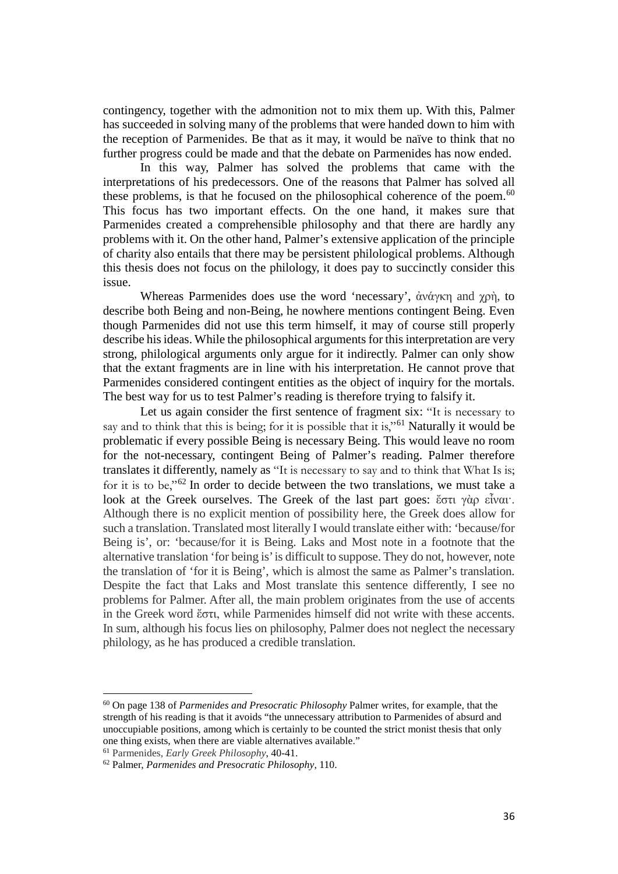contingency, together with the admonition not to mix them up. With this, Palmer has succeeded in solving many of the problems that were handed down to him with the reception of Parmenides. Be that as it may, it would be naïve to think that no further progress could be made and that the debate on Parmenides has now ended.

In this way, Palmer has solved the problems that came with the interpretations of his predecessors. One of the reasons that Palmer has solved all these problems, is that he focused on the philosophical coherence of the poem.<sup>[60](#page-35-0)</sup> This focus has two important effects. On the one hand, it makes sure that Parmenides created a comprehensible philosophy and that there are hardly any problems with it. On the other hand, Palmer's extensive application of the principle of charity also entails that there may be persistent philological problems. Although this thesis does not focus on the philology, it does pay to succinctly consider this issue.

Whereas Parmenides does use the word 'necessary', ἀνάγκη and χρὴ, to describe both Being and non-Being, he nowhere mentions contingent Being. Even though Parmenides did not use this term himself, it may of course still properly describe his ideas. While the philosophical arguments for this interpretation are very strong, philological arguments only argue for it indirectly. Palmer can only show that the extant fragments are in line with his interpretation. He cannot prove that Parmenides considered contingent entities as the object of inquiry for the mortals. The best way for us to test Palmer's reading is therefore trying to falsify it.

Let us again consider the first sentence of fragment six: "It is necessary to say and to think that this is being; for it is possible that it is,"<sup>[61](#page-35-1)</sup> Naturally it would be problematic if every possible Being is necessary Being. This would leave no room for the not-necessary, contingent Being of Palmer's reading. Palmer therefore translates it differently, namely as "It is necessary to say and to think that What Is is; for it is to be,"[62](#page-35-2) In order to decide between the two translations, we must take a look at the Greek ourselves. The Greek of the last part goes: ἔστι γὰρ εἶναι·. Although there is no explicit mention of possibility here, the Greek does allow for such a translation. Translated most literally I would translate either with: 'because/for Being is', or: 'because/for it is Being. Laks and Most note in a footnote that the alternative translation 'for being is' is difficult to suppose. They do not, however, note the translation of 'for it is Being', which is almost the same as Palmer's translation. Despite the fact that Laks and Most translate this sentence differently, I see no problems for Palmer. After all, the main problem originates from the use of accents in the Greek word ἔστι, while Parmenides himself did not write with these accents. In sum, although his focus lies on philosophy, Palmer does not neglect the necessary philology, as he has produced a credible translation.

<span id="page-35-0"></span><sup>60</sup> On page 138 of *Parmenides and Presocratic Philosophy* Palmer writes, for example, that the strength of his reading is that it avoids "the unnecessary attribution to Parmenides of absurd and unoccupiable positions, among which is certainly to be counted the strict monist thesis that only one thing exists, when there are viable alternatives available."

<span id="page-35-1"></span><sup>61</sup> Parmenides, *Early Greek Philosophy*, 40-41.

<span id="page-35-2"></span><sup>62</sup> Palmer, *Parmenides and Presocratic Philosophy*, 110.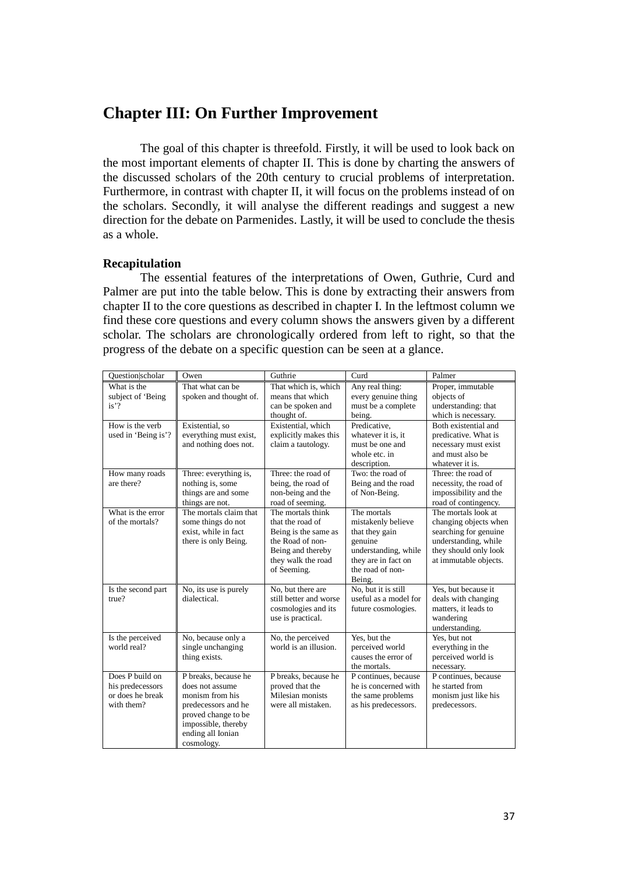# **Chapter III: On Further Improvement**

The goal of this chapter is threefold. Firstly, it will be used to look back on the most important elements of chapter II. This is done by charting the answers of the discussed scholars of the 20th century to crucial problems of interpretation. Furthermore, in contrast with chapter II, it will focus on the problems instead of on the scholars. Secondly, it will analyse the different readings and suggest a new direction for the debate on Parmenides. Lastly, it will be used to conclude the thesis as a whole.

# **Recapitulation**

The essential features of the interpretations of Owen, Guthrie, Curd and Palmer are put into the table below. This is done by extracting their answers from chapter II to the core questions as described in chapter I. In the leftmost column we find these core questions and every column shows the answers given by a different scholar. The scholars are chronologically ordered from left to right, so that the progress of the debate on a specific question can be seen at a glance.

| Question scholar                                                                      | Owen                                                                                                                                                               | Guthrie                                                                                                                                     | Curd                                                                                                                                        | Palmer                                                                                                                                          |
|---------------------------------------------------------------------------------------|--------------------------------------------------------------------------------------------------------------------------------------------------------------------|---------------------------------------------------------------------------------------------------------------------------------------------|---------------------------------------------------------------------------------------------------------------------------------------------|-------------------------------------------------------------------------------------------------------------------------------------------------|
| What is the<br>subject of 'Being<br>$is'$ ?<br>How is the verb<br>used in 'Being is'? | That what can be<br>spoken and thought of.<br>Existential, so<br>everything must exist,                                                                            | That which is, which<br>means that which<br>can be spoken and<br>thought of.<br>Existential, which<br>explicitly makes this                 | Any real thing:<br>every genuine thing<br>must be a complete<br>being.<br>Predicative,<br>whatever it is, it                                | Proper, immutable<br>objects of<br>understanding: that<br>which is necessary.<br>Both existential and<br>predicative. What is                   |
|                                                                                       | and nothing does not.                                                                                                                                              | claim a tautology.                                                                                                                          | must be one and<br>whole etc. in<br>description.                                                                                            | necessary must exist<br>and must also be<br>whatever it is.                                                                                     |
| How many roads<br>are there?                                                          | Three: everything is,<br>nothing is, some<br>things are and some<br>things are not.                                                                                | Three: the road of<br>being, the road of<br>non-being and the<br>road of seeming.                                                           | Two: the road of<br>Being and the road<br>of Non-Being.                                                                                     | Three: the road of<br>necessity, the road of<br>impossibility and the<br>road of contingency.                                                   |
| What is the error<br>of the mortals?                                                  | The mortals claim that<br>some things do not<br>exist, while in fact<br>there is only Being.                                                                       | The mortals think<br>that the road of<br>Being is the same as<br>the Road of non-<br>Being and thereby<br>they walk the road<br>of Seeming. | The mortals<br>mistakenly believe<br>that they gain<br>genuine<br>understanding, while<br>they are in fact on<br>the road of non-<br>Being. | The mortals look at<br>changing objects when<br>searching for genuine<br>understanding, while<br>they should only look<br>at immutable objects. |
| Is the second part<br>true?                                                           | No, its use is purely<br>dialectical.                                                                                                                              | No, but there are<br>still better and worse<br>cosmologies and its<br>use is practical.                                                     | No, but it is still<br>useful as a model for<br>future cosmologies.                                                                         | Yes, but because it<br>deals with changing<br>matters, it leads to<br>wandering<br>understanding.                                               |
| Is the perceived<br>world real?                                                       | No, because only a<br>single unchanging<br>thing exists.                                                                                                           | No, the perceived<br>world is an illusion.                                                                                                  | Yes, but the<br>perceived world<br>causes the error of<br>the mortals.                                                                      | Yes, but not<br>everything in the<br>perceived world is<br>necessary.                                                                           |
| Does P build on<br>his predecessors<br>or does he break<br>with them?                 | P breaks, because he<br>does not assume<br>monism from his<br>predecessors and he<br>proved change to be<br>impossible, thereby<br>ending all Ionian<br>cosmology. | P breaks, because he<br>proved that the<br>Milesian monists<br>were all mistaken.                                                           | P continues, because<br>he is concerned with<br>the same problems<br>as his predecessors.                                                   | P continues, because<br>he started from<br>monism just like his<br>predecessors.                                                                |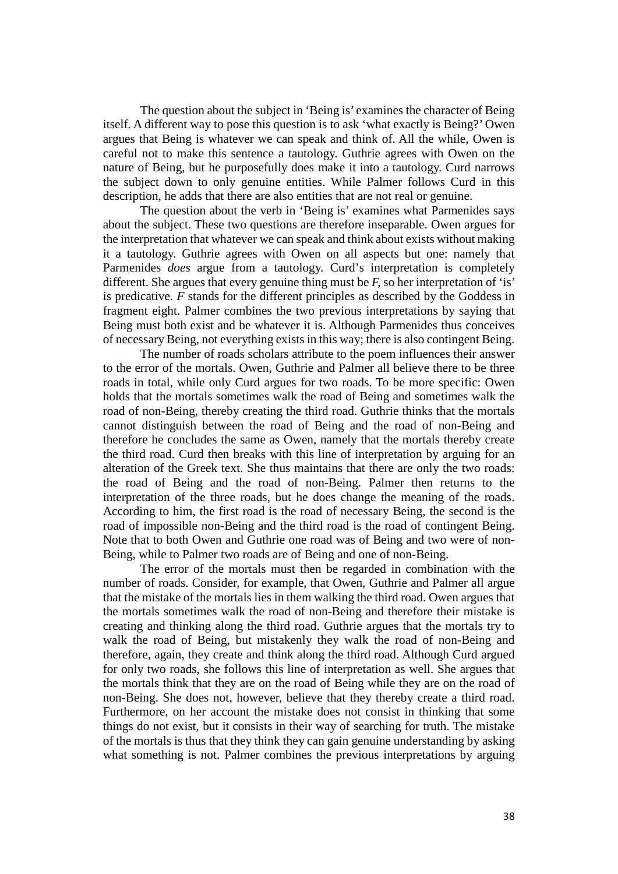The question about the subject in 'Being is' examines the character of Being itself. A different way to pose this question is to ask 'what exactly is Being?' Owen argues that Being is whatever we can speak and think of. All the while, Owen is careful not to make this sentence a tautology. Guthrie agrees with Owen on the nature of Being, but he purposefully does make it into a tautology. Curd narrows the subject down to only genuine entities. While Palmer follows Curd in this description, he adds that there are also entities that are not real or genuine.

The question about the verb in 'Being is' examines what Parmenides says about the subject. These two questions are therefore inseparable. Owen argues for the interpretation that whatever we can speak and think about exists without making it a tautology. Guthrie agrees with Owen on all aspects but one: namely that Parmenides *does* argue from a tautology. Curd's interpretation is completely different. She argues that every genuine thing must be *F,* so her interpretation of 'is' is predicative*. F* stands for the different principles as described by the Goddess in fragment eight. Palmer combines the two previous interpretations by saying that Being must both exist and be whatever it is. Although Parmenides thus conceives of necessary Being, not everything exists in this way; there is also contingent Being.

The number of roads scholars attribute to the poem influences their answer to the error of the mortals. Owen, Guthrie and Palmer all believe there to be three roads in total, while only Curd argues for two roads. To be more specific: Owen holds that the mortals sometimes walk the road of Being and sometimes walk the road of non-Being, thereby creating the third road. Guthrie thinks that the mortals cannot distinguish between the road of Being and the road of non-Being and therefore he concludes the same as Owen, namely that the mortals thereby create the third road. Curd then breaks with this line of interpretation by arguing for an alteration of the Greek text. She thus maintains that there are only the two roads: the road of Being and the road of non-Being. Palmer then returns to the interpretation of the three roads, but he does change the meaning of the roads. According to him, the first road is the road of necessary Being, the second is the road of impossible non-Being and the third road is the road of contingent Being. Note that to both Owen and Guthrie one road was of Being and two were of non-Being, while to Palmer two roads are of Being and one of non-Being.

The error of the mortals must then be regarded in combination with the number of roads. Consider, for example, that Owen, Guthrie and Palmer all argue that the mistake of the mortals lies in them walking the third road. Owen argues that the mortals sometimes walk the road of non-Being and therefore their mistake is creating and thinking along the third road. Guthrie argues that the mortals try to walk the road of Being, but mistakenly they walk the road of non-Being and therefore, again, they create and think along the third road. Although Curd argued for only two roads, she follows this line of interpretation as well. She argues that the mortals think that they are on the road of Being while they are on the road of non-Being. She does not, however, believe that they thereby create a third road. Furthermore, on her account the mistake does not consist in thinking that some things do not exist, but it consists in their way of searching for truth. The mistake of the mortals is thus that they think they can gain genuine understanding by asking what something is not. Palmer combines the previous interpretations by arguing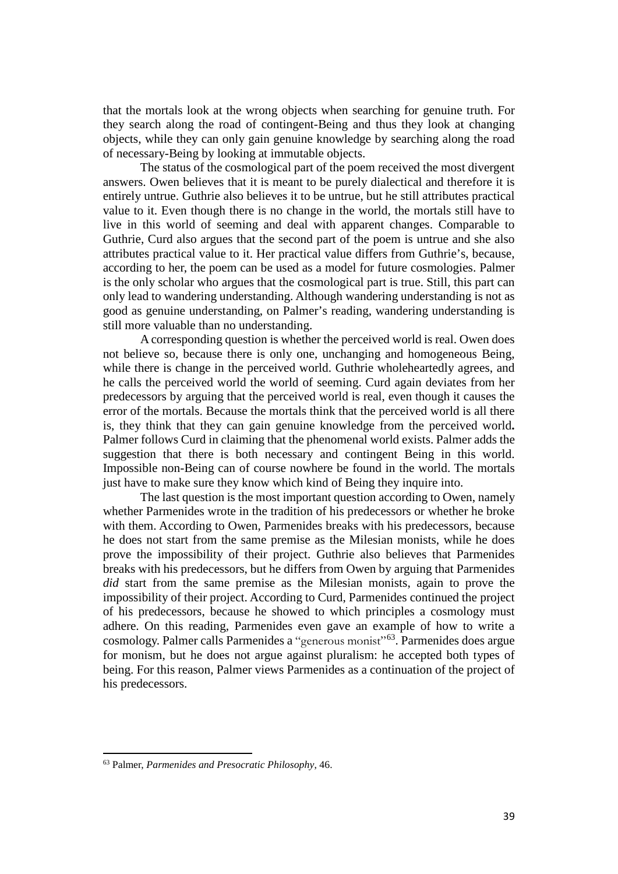that the mortals look at the wrong objects when searching for genuine truth. For they search along the road of contingent-Being and thus they look at changing objects, while they can only gain genuine knowledge by searching along the road of necessary-Being by looking at immutable objects.

The status of the cosmological part of the poem received the most divergent answers. Owen believes that it is meant to be purely dialectical and therefore it is entirely untrue. Guthrie also believes it to be untrue, but he still attributes practical value to it. Even though there is no change in the world, the mortals still have to live in this world of seeming and deal with apparent changes. Comparable to Guthrie, Curd also argues that the second part of the poem is untrue and she also attributes practical value to it. Her practical value differs from Guthrie's, because, according to her, the poem can be used as a model for future cosmologies. Palmer is the only scholar who argues that the cosmological part is true. Still, this part can only lead to wandering understanding. Although wandering understanding is not as good as genuine understanding, on Palmer's reading, wandering understanding is still more valuable than no understanding.

A corresponding question is whether the perceived world is real. Owen does not believe so, because there is only one, unchanging and homogeneous Being, while there is change in the perceived world. Guthrie wholeheartedly agrees, and he calls the perceived world the world of seeming. Curd again deviates from her predecessors by arguing that the perceived world is real, even though it causes the error of the mortals. Because the mortals think that the perceived world is all there is, they think that they can gain genuine knowledge from the perceived world**.**  Palmer follows Curd in claiming that the phenomenal world exists. Palmer adds the suggestion that there is both necessary and contingent Being in this world. Impossible non-Being can of course nowhere be found in the world. The mortals just have to make sure they know which kind of Being they inquire into.

The last question is the most important question according to Owen, namely whether Parmenides wrote in the tradition of his predecessors or whether he broke with them. According to Owen, Parmenides breaks with his predecessors, because he does not start from the same premise as the Milesian monists, while he does prove the impossibility of their project. Guthrie also believes that Parmenides breaks with his predecessors, but he differs from Owen by arguing that Parmenides *did* start from the same premise as the Milesian monists, again to prove the impossibility of their project. According to Curd, Parmenides continued the project of his predecessors, because he showed to which principles a cosmology must adhere. On this reading, Parmenides even gave an example of how to write a cosmology. Palmer calls Parmenides a "generous monist"<sup>63</sup>. Parmenides does argue for monism, but he does not argue against pluralism: he accepted both types of being. For this reason, Palmer views Parmenides as a continuation of the project of his predecessors.

<span id="page-38-0"></span><sup>63</sup> Palmer, *Parmenides and Presocratic Philosophy*, 46.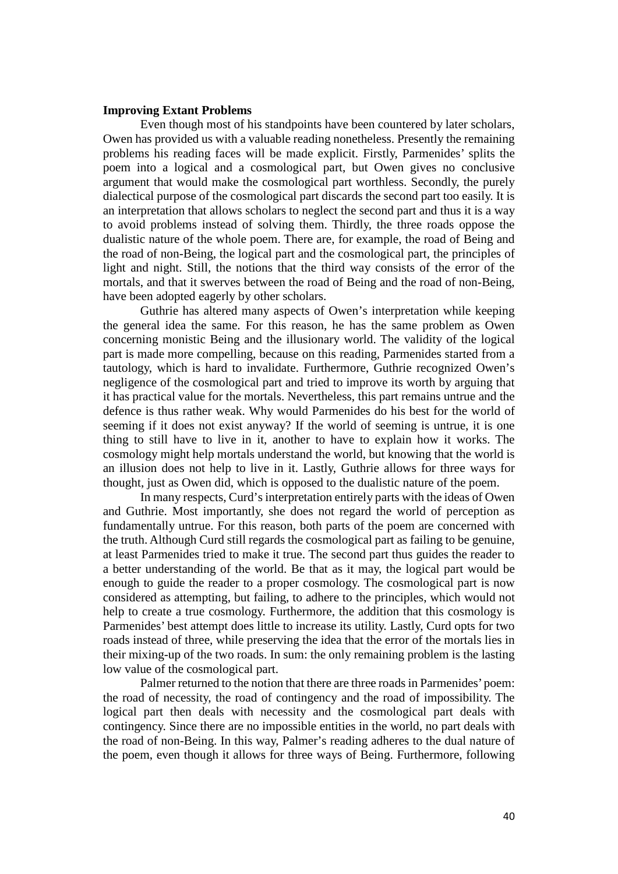# **Improving Extant Problems**

Even though most of his standpoints have been countered by later scholars, Owen has provided us with a valuable reading nonetheless. Presently the remaining problems his reading faces will be made explicit. Firstly, Parmenides' splits the poem into a logical and a cosmological part, but Owen gives no conclusive argument that would make the cosmological part worthless. Secondly, the purely dialectical purpose of the cosmological part discards the second part too easily. It is an interpretation that allows scholars to neglect the second part and thus it is a way to avoid problems instead of solving them. Thirdly, the three roads oppose the dualistic nature of the whole poem. There are, for example, the road of Being and the road of non-Being, the logical part and the cosmological part, the principles of light and night. Still, the notions that the third way consists of the error of the mortals, and that it swerves between the road of Being and the road of non-Being, have been adopted eagerly by other scholars.

Guthrie has altered many aspects of Owen's interpretation while keeping the general idea the same. For this reason, he has the same problem as Owen concerning monistic Being and the illusionary world. The validity of the logical part is made more compelling, because on this reading, Parmenides started from a tautology, which is hard to invalidate. Furthermore, Guthrie recognized Owen's negligence of the cosmological part and tried to improve its worth by arguing that it has practical value for the mortals. Nevertheless, this part remains untrue and the defence is thus rather weak. Why would Parmenides do his best for the world of seeming if it does not exist anyway? If the world of seeming is untrue, it is one thing to still have to live in it, another to have to explain how it works. The cosmology might help mortals understand the world, but knowing that the world is an illusion does not help to live in it. Lastly, Guthrie allows for three ways for thought, just as Owen did, which is opposed to the dualistic nature of the poem.

In many respects, Curd's interpretation entirely parts with the ideas of Owen and Guthrie. Most importantly, she does not regard the world of perception as fundamentally untrue. For this reason, both parts of the poem are concerned with the truth. Although Curd still regards the cosmological part as failing to be genuine, at least Parmenides tried to make it true. The second part thus guides the reader to a better understanding of the world. Be that as it may, the logical part would be enough to guide the reader to a proper cosmology. The cosmological part is now considered as attempting, but failing, to adhere to the principles, which would not help to create a true cosmology. Furthermore, the addition that this cosmology is Parmenides' best attempt does little to increase its utility. Lastly, Curd opts for two roads instead of three, while preserving the idea that the error of the mortals lies in their mixing-up of the two roads. In sum: the only remaining problem is the lasting low value of the cosmological part.

Palmer returned to the notion that there are three roads in Parmenides' poem: the road of necessity, the road of contingency and the road of impossibility. The logical part then deals with necessity and the cosmological part deals with contingency. Since there are no impossible entities in the world, no part deals with the road of non-Being. In this way, Palmer's reading adheres to the dual nature of the poem, even though it allows for three ways of Being. Furthermore, following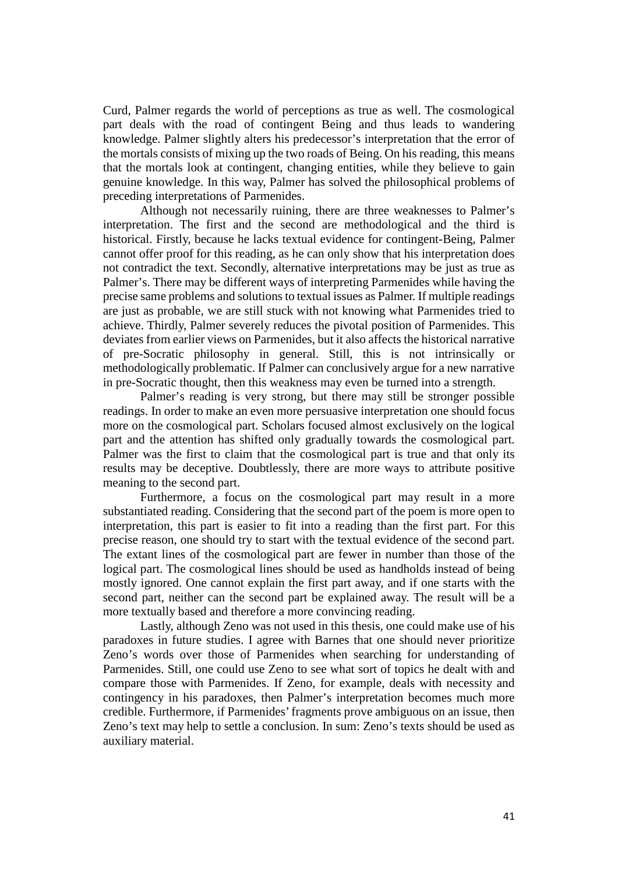Curd, Palmer regards the world of perceptions as true as well. The cosmological part deals with the road of contingent Being and thus leads to wandering knowledge. Palmer slightly alters his predecessor's interpretation that the error of the mortals consists of mixing up the two roads of Being. On his reading, this means that the mortals look at contingent, changing entities, while they believe to gain genuine knowledge. In this way, Palmer has solved the philosophical problems of preceding interpretations of Parmenides.

Although not necessarily ruining, there are three weaknesses to Palmer's interpretation. The first and the second are methodological and the third is historical. Firstly, because he lacks textual evidence for contingent-Being, Palmer cannot offer proof for this reading, as he can only show that his interpretation does not contradict the text. Secondly, alternative interpretations may be just as true as Palmer's. There may be different ways of interpreting Parmenides while having the precise same problems and solutions to textual issues as Palmer. If multiple readings are just as probable, we are still stuck with not knowing what Parmenides tried to achieve. Thirdly, Palmer severely reduces the pivotal position of Parmenides. This deviates from earlier views on Parmenides, but it also affects the historical narrative of pre-Socratic philosophy in general. Still, this is not intrinsically or methodologically problematic. If Palmer can conclusively argue for a new narrative in pre-Socratic thought, then this weakness may even be turned into a strength.

Palmer's reading is very strong, but there may still be stronger possible readings. In order to make an even more persuasive interpretation one should focus more on the cosmological part. Scholars focused almost exclusively on the logical part and the attention has shifted only gradually towards the cosmological part. Palmer was the first to claim that the cosmological part is true and that only its results may be deceptive. Doubtlessly, there are more ways to attribute positive meaning to the second part.

Furthermore, a focus on the cosmological part may result in a more substantiated reading. Considering that the second part of the poem is more open to interpretation, this part is easier to fit into a reading than the first part. For this precise reason, one should try to start with the textual evidence of the second part. The extant lines of the cosmological part are fewer in number than those of the logical part. The cosmological lines should be used as handholds instead of being mostly ignored. One cannot explain the first part away, and if one starts with the second part, neither can the second part be explained away. The result will be a more textually based and therefore a more convincing reading.

Lastly, although Zeno was not used in this thesis, one could make use of his paradoxes in future studies. I agree with Barnes that one should never prioritize Zeno's words over those of Parmenides when searching for understanding of Parmenides. Still, one could use Zeno to see what sort of topics he dealt with and compare those with Parmenides. If Zeno, for example, deals with necessity and contingency in his paradoxes, then Palmer's interpretation becomes much more credible. Furthermore, if Parmenides' fragments prove ambiguous on an issue, then Zeno's text may help to settle a conclusion. In sum: Zeno's texts should be used as auxiliary material.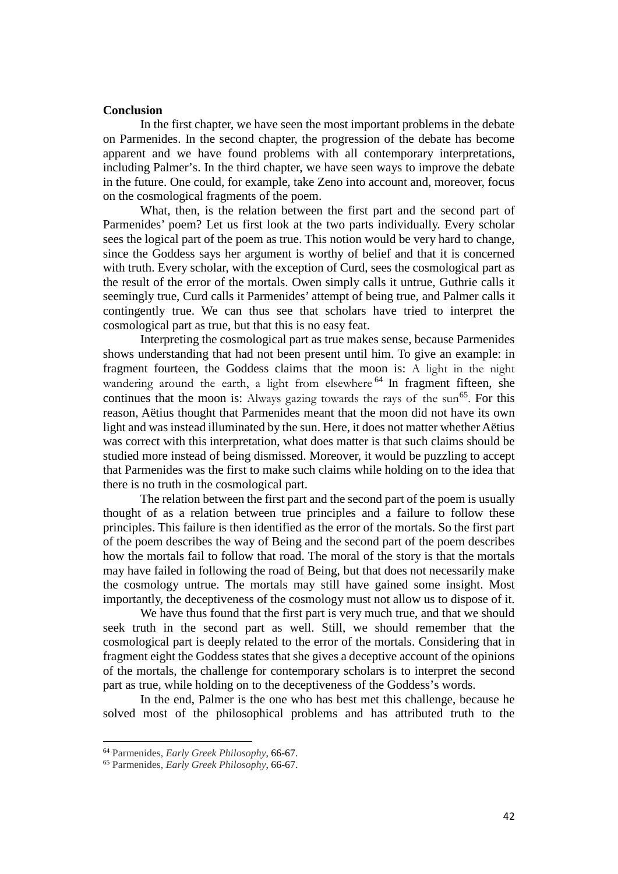# **Conclusion**

In the first chapter, we have seen the most important problems in the debate on Parmenides. In the second chapter, the progression of the debate has become apparent and we have found problems with all contemporary interpretations, including Palmer's. In the third chapter, we have seen ways to improve the debate in the future. One could, for example, take Zeno into account and, moreover, focus on the cosmological fragments of the poem.

What, then, is the relation between the first part and the second part of Parmenides' poem? Let us first look at the two parts individually. Every scholar sees the logical part of the poem as true. This notion would be very hard to change, since the Goddess says her argument is worthy of belief and that it is concerned with truth. Every scholar, with the exception of Curd, sees the cosmological part as the result of the error of the mortals. Owen simply calls it untrue, Guthrie calls it seemingly true, Curd calls it Parmenides' attempt of being true, and Palmer calls it contingently true. We can thus see that scholars have tried to interpret the cosmological part as true, but that this is no easy feat.

Interpreting the cosmological part as true makes sense, because Parmenides shows understanding that had not been present until him. To give an example: in fragment fourteen, the Goddess claims that the moon is: A light in the night wandering around the earth, a light from elsewhere <sup>[64](#page-41-0)</sup> In fragment fifteen, she continues that the moon is: Always gazing towards the rays of the sun<sup>[65](#page-41-1)</sup>. For this reason, Aëtius thought that Parmenides meant that the moon did not have its own light and was instead illuminated by the sun. Here, it does not matter whether Aëtius was correct with this interpretation, what does matter is that such claims should be studied more instead of being dismissed. Moreover, it would be puzzling to accept that Parmenides was the first to make such claims while holding on to the idea that there is no truth in the cosmological part.

The relation between the first part and the second part of the poem is usually thought of as a relation between true principles and a failure to follow these principles. This failure is then identified as the error of the mortals. So the first part of the poem describes the way of Being and the second part of the poem describes how the mortals fail to follow that road. The moral of the story is that the mortals may have failed in following the road of Being, but that does not necessarily make the cosmology untrue. The mortals may still have gained some insight. Most importantly, the deceptiveness of the cosmology must not allow us to dispose of it.

We have thus found that the first part is very much true, and that we should seek truth in the second part as well. Still, we should remember that the cosmological part is deeply related to the error of the mortals. Considering that in fragment eight the Goddess states that she gives a deceptive account of the opinions of the mortals, the challenge for contemporary scholars is to interpret the second part as true, while holding on to the deceptiveness of the Goddess's words.

In the end, Palmer is the one who has best met this challenge, because he solved most of the philosophical problems and has attributed truth to the

<span id="page-41-0"></span><sup>64</sup> Parmenides, *Early Greek Philosophy*, 66-67.

<span id="page-41-1"></span><sup>65</sup> Parmenides, *Early Greek Philosophy*, 66-67.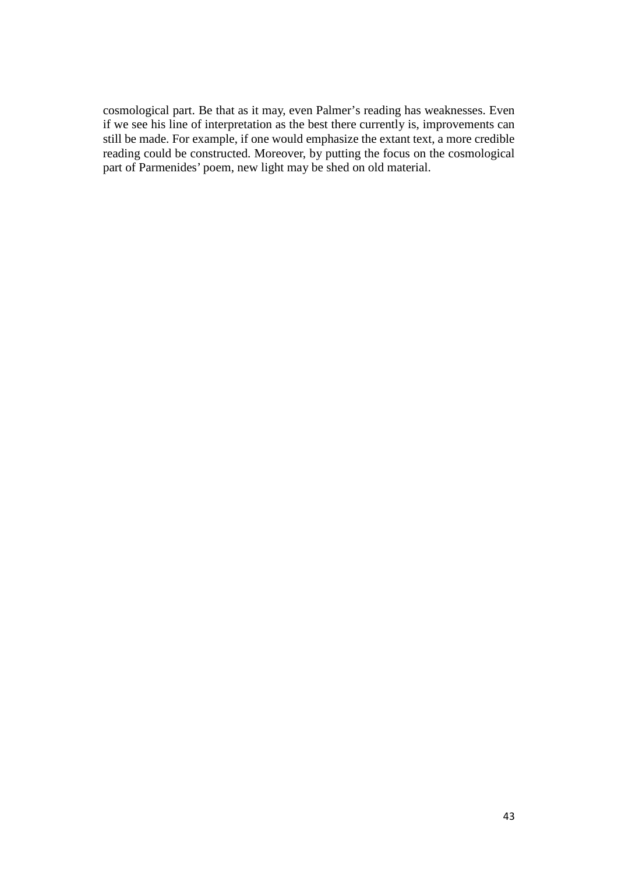cosmological part. Be that as it may, even Palmer's reading has weaknesses. Even if we see his line of interpretation as the best there currently is, improvements can still be made. For example, if one would emphasize the extant text, a more credible reading could be constructed. Moreover, by putting the focus on the cosmological part of Parmenides' poem, new light may be shed on old material.